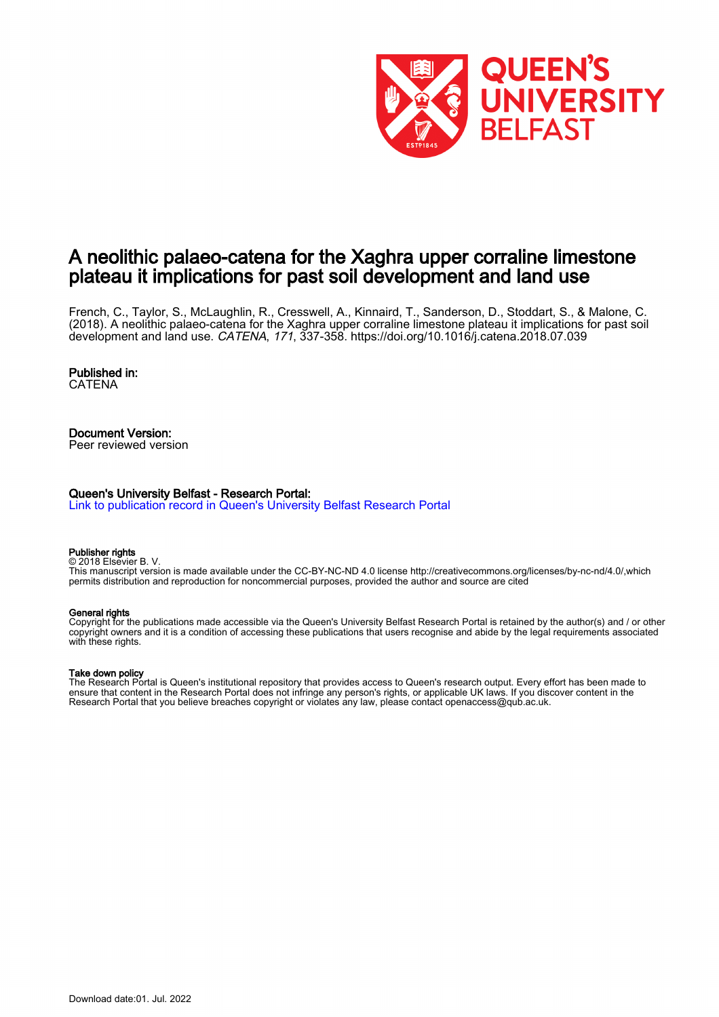

# A neolithic palaeo-catena for the Xaghra upper corraline limestone plateau it implications for past soil development and land use

French, C., Taylor, S., McLaughlin, R., Cresswell, A., Kinnaird, T., Sanderson, D., Stoddart, S., & Malone, C. (2018). A neolithic palaeo-catena for the Xaghra upper corraline limestone plateau it implications for past soil development and land use. CATENA, 171, 337-358.<https://doi.org/10.1016/j.catena.2018.07.039>

## Published in:

**CATENA** 

# Document Version:

Peer reviewed version

#### Queen's University Belfast - Research Portal:

[Link to publication record in Queen's University Belfast Research Portal](https://pure.qub.ac.uk/en/publications/dd03285d-1841-4e99-81a6-11ca1235f129)

#### Publisher rights © 2018 Elsevier B. V.

This manuscript version is made available under the CC-BY-NC-ND 4.0 license http://creativecommons.org/licenses/by-nc-nd/4.0/,which permits distribution and reproduction for noncommercial purposes, provided the author and source are cited

#### General rights

Copyright for the publications made accessible via the Queen's University Belfast Research Portal is retained by the author(s) and / or other copyright owners and it is a condition of accessing these publications that users recognise and abide by the legal requirements associated with these rights.

#### Take down policy

The Research Portal is Queen's institutional repository that provides access to Queen's research output. Every effort has been made to ensure that content in the Research Portal does not infringe any person's rights, or applicable UK laws. If you discover content in the Research Portal that you believe breaches copyright or violates any law, please contact openaccess@qub.ac.uk.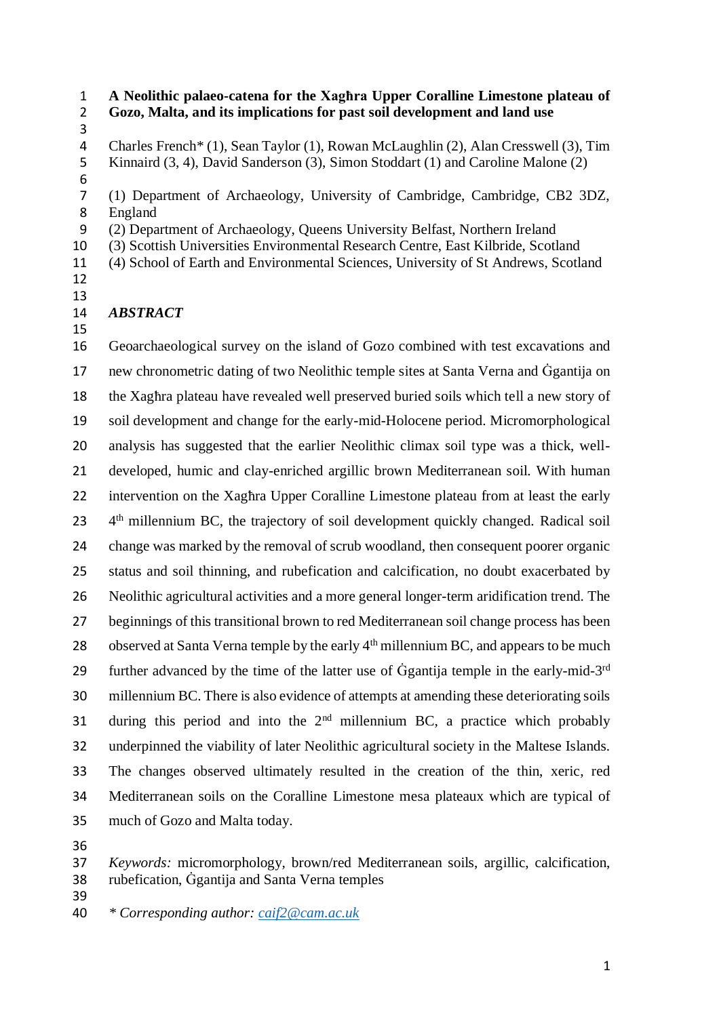## **A Neolithic palaeo-catena for the Xagħra Upper Coralline Limestone plateau of Gozo, Malta, and its implications for past soil development and land use** Charles French\* (1), Sean Taylor (1), Rowan McLaughlin (2), Alan Cresswell (3), Tim Kinnaird (3, 4), David Sanderson (3), Simon Stoddart (1) and Caroline Malone (2)

- 
- (1) Department of Archaeology, University of Cambridge, Cambridge, CB2 3DZ, England
- (2) Department of Archaeology, Queens University Belfast, Northern Ireland
- (3) Scottish Universities Environmental Research Centre, East Kilbride, Scotland
- (4) School of Earth and Environmental Sciences, University of St Andrews, Scotland
- 
- 

# *ABSTRACT*

 Geoarchaeological survey on the island of Gozo combined with test excavations and new chronometric dating of two Neolithic temple sites at Santa Verna and Ġgantija on the Xagħra plateau have revealed well preserved buried soils which tell a new story of soil development and change for the early-mid-Holocene period. Micromorphological analysis has suggested that the earlier Neolithic climax soil type was a thick, well- developed, humic and clay-enriched argillic brown Mediterranean soil. With human 22 intervention on the Xaghra Upper Coralline Limestone plateau from at least the early  $4<sup>th</sup>$  millennium BC, the trajectory of soil development quickly changed. Radical soil change was marked by the removal of scrub woodland, then consequent poorer organic status and soil thinning, and rubefication and calcification, no doubt exacerbated by Neolithic agricultural activities and a more general longer-term aridification trend. The beginnings of this transitional brown to red Mediterranean soil change process has been 28 observed at Santa Verna temple by the early  $4<sup>th</sup>$  millennium BC, and appears to be much 29 further advanced by the time of the latter use of Ggantija temple in the early-mid- $3<sup>rd</sup>$  millennium BC. There is also evidence of attempts at amending these deteriorating soils 31 during this period and into the  $2<sup>nd</sup>$  millennium BC, a practice which probably underpinned the viability of later Neolithic agricultural society in the Maltese Islands. The changes observed ultimately resulted in the creation of the thin, xeric, red Mediterranean soils on the Coralline Limestone mesa plateaux which are typical of much of Gozo and Malta today.

- 
- *Keywords:* micromorphology, brown/red Mediterranean soils, argillic, calcification, rubefication, Ġgantija and Santa Verna temples
- 
- *\* Corresponding author: [caif2@cam.ac.uk](mailto:caif2@cam.ac.uk)*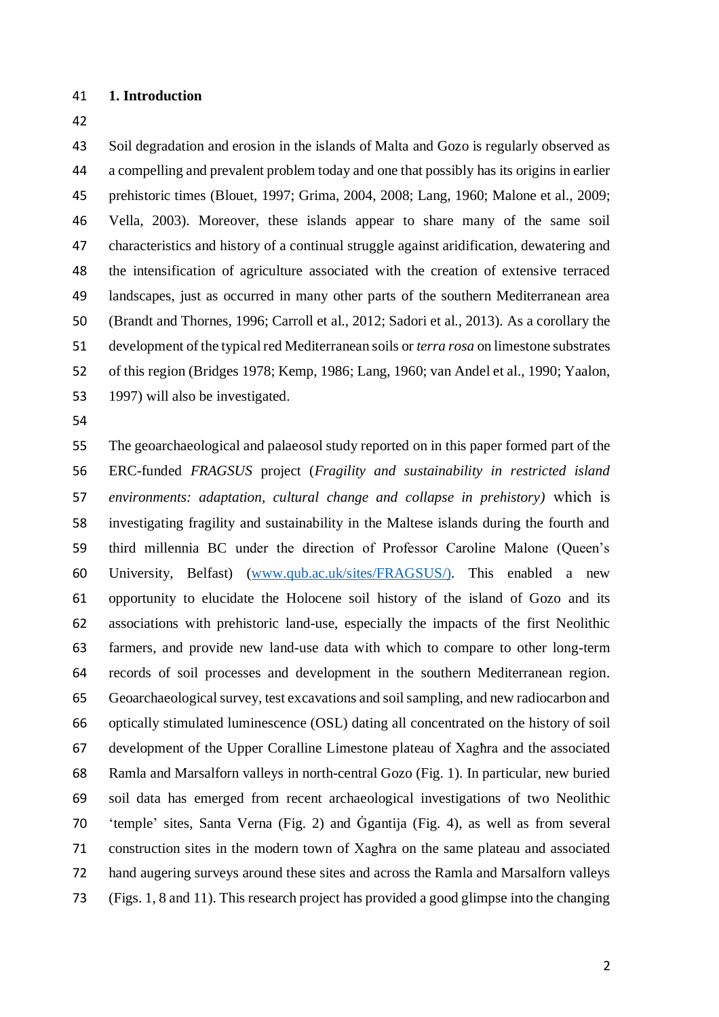#### **1. Introduction**

 Soil degradation and erosion in the islands of Malta and Gozo is regularly observed as a compelling and prevalent problem today and one that possibly has its origins in earlier prehistoric times (Blouet, 1997; Grima, 2004, 2008; Lang, 1960; Malone et al., 2009; Vella, 2003). Moreover, these islands appear to share many of the same soil characteristics and history of a continual struggle against aridification, dewatering and the intensification of agriculture associated with the creation of extensive terraced landscapes, just as occurred in many other parts of the southern Mediterranean area (Brandt and Thornes, 1996; Carroll et al., 2012; Sadori et al., 2013). As a corollary the development of the typical red Mediterranean soils or *terra rosa* on limestone substrates of this region (Bridges 1978; Kemp, 1986; Lang, 1960; van Andel et al., 1990; Yaalon, 1997) will also be investigated.

 The geoarchaeological and palaeosol study reported on in this paper formed part of the ERC-funded *FRAGSUS* project (*Fragility and sustainability in restricted island environments: adaptation, cultural change and collapse in prehistory)* which is investigating fragility and sustainability in the Maltese islands during the fourth and third millennia BC under the direction of Professor Caroline Malone (Queen's University, Belfast) [\(www.qub.ac.uk/sites/FRAGSUS/\).](http://www.qub.ac.uk/sites/FRAGSUS/)) This enabled a new opportunity to elucidate the Holocene soil history of the island of Gozo and its associations with prehistoric land-use, especially the impacts of the first Neolithic farmers, and provide new land-use data with which to compare to other long-term records of soil processes and development in the southern Mediterranean region. Geoarchaeological survey, test excavations and soil sampling, and new radiocarbon and optically stimulated luminescence (OSL) dating all concentrated on the history of soil development of the Upper Coralline Limestone plateau of Xagħra and the associated Ramla and Marsalforn valleys in north-central Gozo (Fig. 1). In particular, new buried soil data has emerged from recent archaeological investigations of two Neolithic 'temple' sites, Santa Verna (Fig. 2) and Ġgantija (Fig. 4), as well as from several construction sites in the modern town of Xagħra on the same plateau and associated hand augering surveys around these sites and across the Ramla and Marsalforn valleys (Figs. 1, 8 and 11). This research project has provided a good glimpse into the changing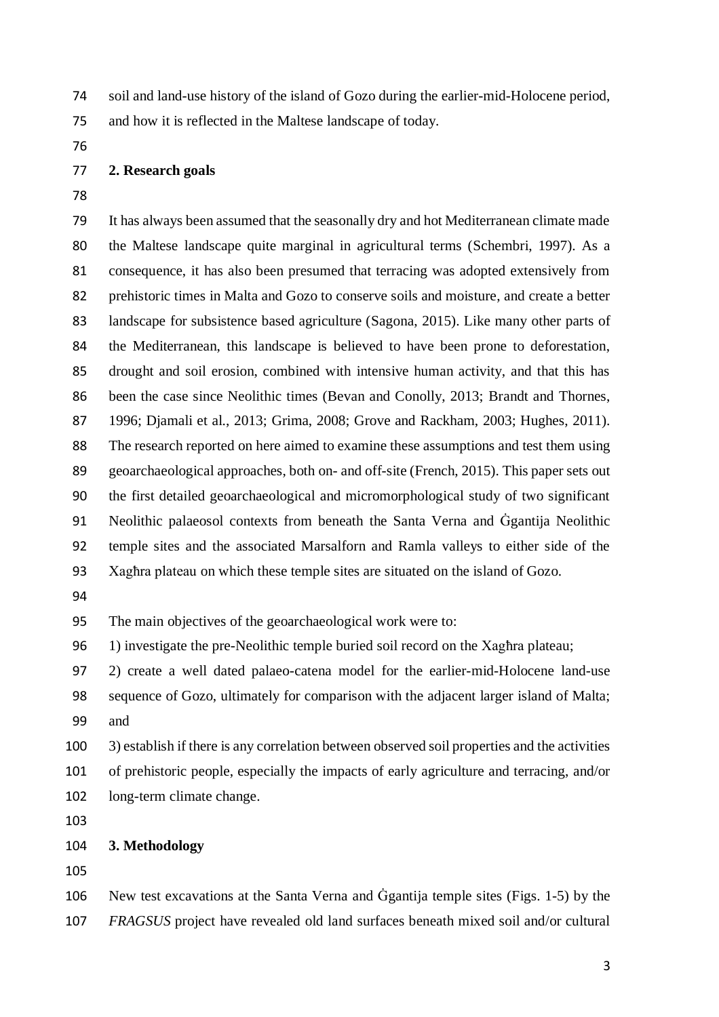soil and land-use history of the island of Gozo during the earlier-mid-Holocene period, and how it is reflected in the Maltese landscape of today.

## **2. Research goals**

 It has always been assumed that the seasonally dry and hot Mediterranean climate made the Maltese landscape quite marginal in agricultural terms (Schembri, 1997). As a consequence, it has also been presumed that terracing was adopted extensively from prehistoric times in Malta and Gozo to conserve soils and moisture, and create a better landscape for subsistence based agriculture (Sagona, 2015). Like many other parts of the Mediterranean, this landscape is believed to have been prone to deforestation, drought and soil erosion, combined with intensive human activity, and that this has been the case since Neolithic times (Bevan and Conolly, 2013; Brandt and Thornes, 1996; Djamali et al., 2013; Grima, 2008; Grove and Rackham, 2003; Hughes, 2011). The research reported on here aimed to examine these assumptions and test them using geoarchaeological approaches, both on- and off-site (French, 2015). This paper sets out the first detailed geoarchaeological and micromorphological study of two significant Neolithic palaeosol contexts from beneath the Santa Verna and Ġgantija Neolithic temple sites and the associated Marsalforn and Ramla valleys to either side of the Xagħra plateau on which these temple sites are situated on the island of Gozo.

The main objectives of the geoarchaeological work were to:

1) investigate the pre-Neolithic temple buried soil record on the Xagħra plateau;

 2) create a well dated palaeo-catena model for the earlier-mid-Holocene land-use sequence of Gozo, ultimately for comparison with the adjacent larger island of Malta; and

 3) establish if there is any correlation between observed soil properties and the activities of prehistoric people, especially the impacts of early agriculture and terracing, and/or long-term climate change.

- **3. Methodology**
- 

 New test excavations at the Santa Verna and Ġgantija temple sites (Figs. 1-5) by the *FRAGSUS* project have revealed old land surfaces beneath mixed soil and/or cultural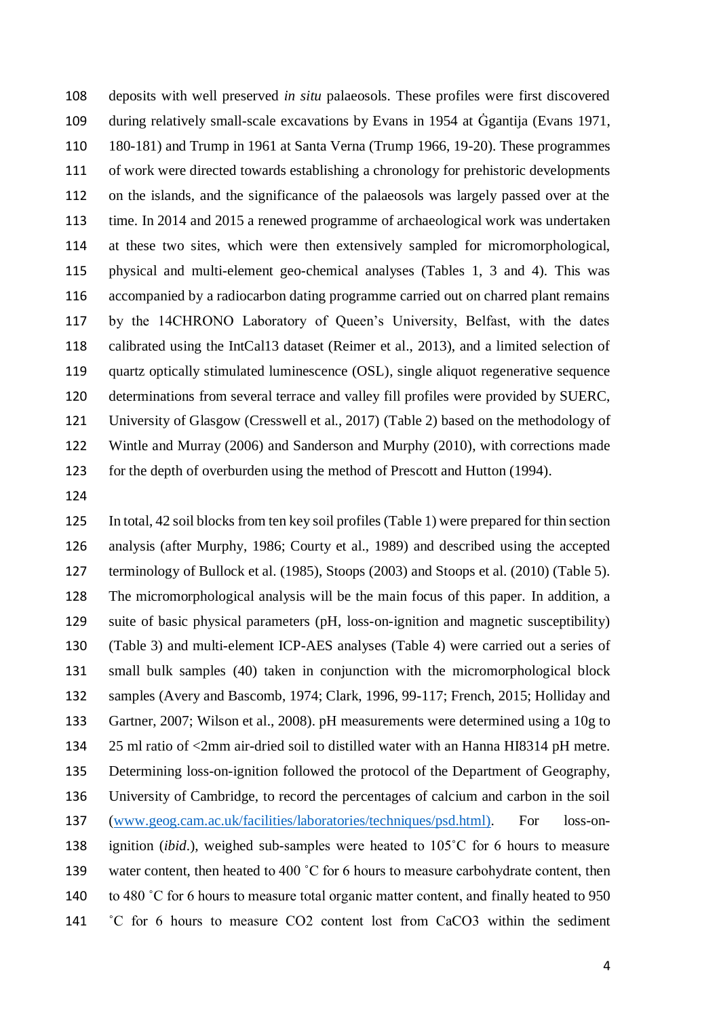deposits with well preserved *in situ* palaeosols. These profiles were first discovered during relatively small-scale excavations by Evans in 1954 at Ġgantija (Evans 1971, 180-181) and Trump in 1961 at Santa Verna (Trump 1966, 19-20). These programmes of work were directed towards establishing a chronology for prehistoric developments on the islands, and the significance of the palaeosols was largely passed over at the time. In 2014 and 2015 a renewed programme of archaeological work was undertaken at these two sites, which were then extensively sampled for micromorphological, physical and multi-element geo-chemical analyses (Tables 1, 3 and 4). This was accompanied by a radiocarbon dating programme carried out on charred plant remains by the 14CHRONO Laboratory of Queen's University, Belfast, with the dates calibrated using the IntCal13 dataset (Reimer et al., 2013), and a limited selection of quartz optically stimulated luminescence (OSL), single aliquot regenerative sequence determinations from several terrace and valley fill profiles were provided by SUERC, University of Glasgow (Cresswell et al., 2017) (Table 2) based on the methodology of Wintle and Murray (2006) and Sanderson and Murphy (2010), with corrections made for the depth of overburden using the method of Prescott and Hutton (1994).

 In total, 42 soil blocks from ten key soil profiles (Table 1) were prepared for thin section analysis (after Murphy, 1986; Courty et al., 1989) and described using the accepted terminology of Bullock et al. (1985), Stoops (2003) and Stoops et al. (2010) (Table 5). The micromorphological analysis will be the main focus of this paper. In addition, a suite of basic physical parameters (pH, loss-on-ignition and magnetic susceptibility) (Table 3) and multi-element ICP-AES analyses (Table 4) were carried out a series of small bulk samples (40) taken in conjunction with the micromorphological block samples (Avery and Bascomb, 1974; Clark, 1996, 99-117; French, 2015; Holliday and Gartner, 2007; Wilson et al., 2008). pH measurements were determined using a 10g to 25 ml ratio of <2mm air-dried soil to distilled water with an Hanna HI8314 pH metre. Determining loss-on-ignition followed the protocol of the Department of Geography, University of Cambridge, to record the percentages of calcium and carbon in the soil [\(www.geog.cam.ac.uk/facilities/laboratories/techniques/psd.html\).](http://www.geog.cam.ac.uk/facilities/laboratories/techniques/psd.html)) For loss-on- ignition (*ibid*.), weighed sub-samples were heated to 105˚C for 6 hours to measure 139 water content, then heated to 400 °C for 6 hours to measure carbohydrate content, then to 480 ˚C for 6 hours to measure total organic matter content, and finally heated to 950 ˚C for 6 hours to measure CO2 content lost from CaCO3 within the sediment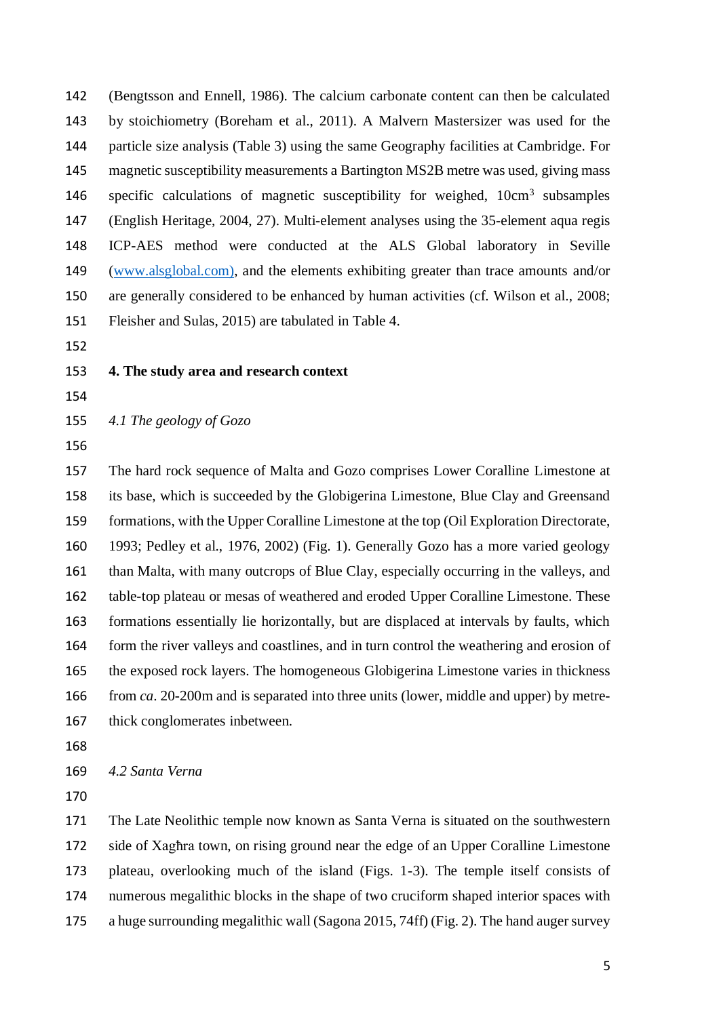(Bengtsson and Ennell, 1986). The calcium carbonate content can then be calculated by stoichiometry (Boreham et al., 2011). A Malvern Mastersizer was used for the particle size analysis (Table 3) using the same Geography facilities at Cambridge. For magnetic susceptibility measurements a Bartington MS2B metre was used, giving mass 146 specific calculations of magnetic susceptibility for weighed,  $10 \text{cm}^3$  subsamples (English Heritage, 2004, 27). Multi-element analyses using the 35-element aqua regis ICP-AES method were conducted at the ALS Global laboratory in Seville [\(www.alsglobal.com\),](http://www.alsglobal.com)/) and the elements exhibiting greater than trace amounts and/or are generally considered to be enhanced by human activities (cf. Wilson et al., 2008; Fleisher and Sulas, 2015) are tabulated in Table 4.

#### **4. The study area and research context**

*4.1 The geology of Gozo*

 The hard rock sequence of Malta and Gozo comprises Lower Coralline Limestone at its base, which is succeeded by the Globigerina Limestone, Blue Clay and Greensand formations, with the Upper Coralline Limestone at the top (Oil Exploration Directorate, 1993; Pedley et al., 1976, 2002) (Fig. 1). Generally Gozo has a more varied geology than Malta, with many outcrops of Blue Clay, especially occurring in the valleys, and table-top plateau or mesas of weathered and eroded Upper Coralline Limestone. These formations essentially lie horizontally, but are displaced at intervals by faults, which form the river valleys and coastlines, and in turn control the weathering and erosion of the exposed rock layers. The homogeneous Globigerina Limestone varies in thickness from *ca*. 20-200m and is separated into three units (lower, middle and upper) by metre-thick conglomerates inbetween.

*4.2 Santa Verna*

 The Late Neolithic temple now known as Santa Verna is situated on the southwestern side of Xagħra town, on rising ground near the edge of an Upper Coralline Limestone plateau, overlooking much of the island (Figs. 1-3). The temple itself consists of numerous megalithic blocks in the shape of two cruciform shaped interior spaces with a huge surrounding megalithic wall (Sagona 2015, 74ff) (Fig. 2). The hand auger survey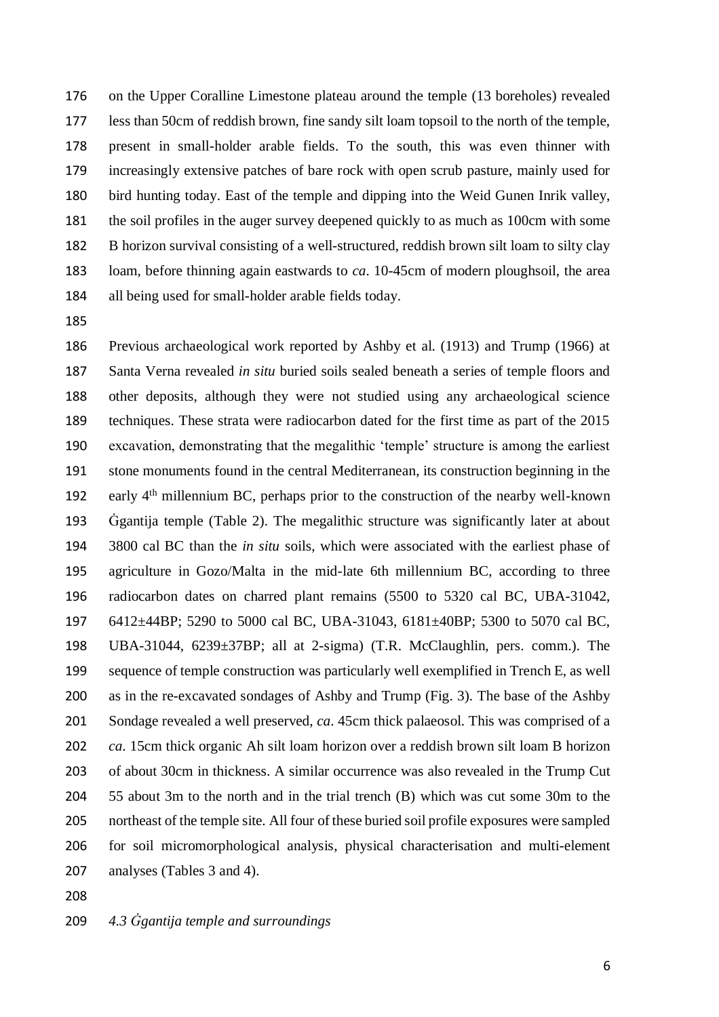on the Upper Coralline Limestone plateau around the temple (13 boreholes) revealed less than 50cm of reddish brown, fine sandy silt loam topsoil to the north of the temple, present in small-holder arable fields. To the south, this was even thinner with increasingly extensive patches of bare rock with open scrub pasture, mainly used for bird hunting today. East of the temple and dipping into the Weid Gunen Inrik valley, the soil profiles in the auger survey deepened quickly to as much as 100cm with some B horizon survival consisting of a well-structured, reddish brown silt loam to silty clay loam, before thinning again eastwards to *ca*. 10-45cm of modern ploughsoil, the area all being used for small-holder arable fields today.

 Previous archaeological work reported by Ashby et al. (1913) and Trump (1966) at Santa Verna revealed *in situ* buried soils sealed beneath a series of temple floors and other deposits, although they were not studied using any archaeological science techniques. These strata were radiocarbon dated for the first time as part of the 2015 excavation, demonstrating that the megalithic 'temple' structure is among the earliest stone monuments found in the central Mediterranean, its construction beginning in the 192 early  $4<sup>th</sup>$  millennium BC, perhaps prior to the construction of the nearby well-known Ġgantija temple (Table 2). The megalithic structure was significantly later at about 3800 cal BC than the *in situ* soils, which were associated with the earliest phase of agriculture in Gozo/Malta in the mid-late 6th millennium BC, according to three radiocarbon dates on charred plant remains (5500 to 5320 cal BC, UBA-31042, 6412±44BP; 5290 to 5000 cal BC, UBA-31043, 6181±40BP; 5300 to 5070 cal BC, UBA-31044, 6239±37BP; all at 2-sigma) (T.R. McClaughlin, pers. comm.). The sequence of temple construction was particularly well exemplified in Trench E, as well as in the re-excavated sondages of Ashby and Trump (Fig. 3). The base of the Ashby Sondage revealed a well preserved, *ca*. 45cm thick palaeosol. This was comprised of a *ca*. 15cm thick organic Ah silt loam horizon over a reddish brown silt loam B horizon of about 30cm in thickness. A similar occurrence was also revealed in the Trump Cut 55 about 3m to the north and in the trial trench (B) which was cut some 30m to the northeast of the temple site. All four of these buried soil profile exposures were sampled for soil micromorphological analysis, physical characterisation and multi-element analyses (Tables 3 and 4).

*4.3 Ġgantija temple and surroundings*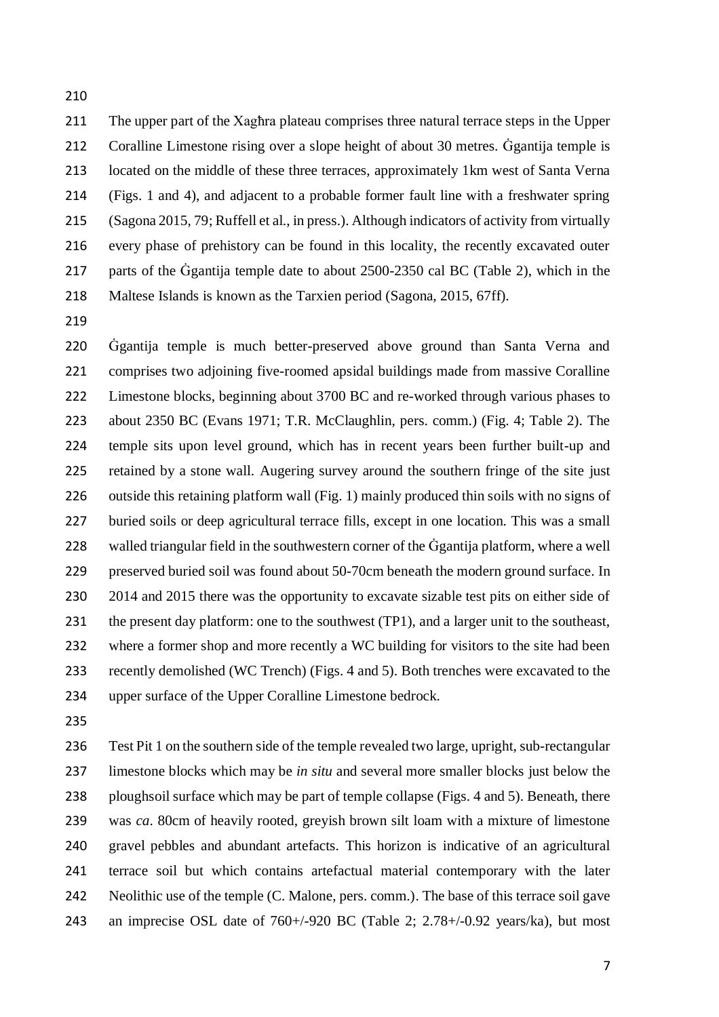The upper part of the Xagħra plateau comprises three natural terrace steps in the Upper Coralline Limestone rising over a slope height of about 30 metres. Ġgantija temple is located on the middle of these three terraces, approximately 1km west of Santa Verna (Figs. 1 and 4), and adjacent to a probable former fault line with a freshwater spring (Sagona 2015, 79; Ruffell et al., in press.). Although indicators of activity from virtually every phase of prehistory can be found in this locality, the recently excavated outer parts of the Ġgantija temple date to about 2500-2350 cal BC (Table 2), which in the Maltese Islands is known as the Tarxien period (Sagona, 2015, 67ff).

 Ġgantija temple is much better-preserved above ground than Santa Verna and comprises two adjoining five-roomed apsidal buildings made from massive Coralline Limestone blocks, beginning about 3700 BC and re-worked through various phases to about 2350 BC (Evans 1971; T.R. McClaughlin, pers. comm.) (Fig. 4; Table 2). The temple sits upon level ground, which has in recent years been further built-up and retained by a stone wall. Augering survey around the southern fringe of the site just 226 outside this retaining platform wall (Fig. 1) mainly produced thin soils with no signs of buried soils or deep agricultural terrace fills, except in one location. This was a small 228 walled triangular field in the southwestern corner of the Ggantija platform, where a well preserved buried soil was found about 50-70cm beneath the modern ground surface. In 230 2014 and 2015 there was the opportunity to excavate sizable test pits on either side of the present day platform: one to the southwest (TP1), and a larger unit to the southeast, where a former shop and more recently a WC building for visitors to the site had been recently demolished (WC Trench) (Figs. 4 and 5). Both trenches were excavated to the upper surface of the Upper Coralline Limestone bedrock.

 Test Pit 1 on the southern side of the temple revealed two large, upright, sub-rectangular limestone blocks which may be *in situ* and several more smaller blocks just below the ploughsoil surface which may be part of temple collapse (Figs. 4 and 5). Beneath, there was *ca*. 80cm of heavily rooted, greyish brown silt loam with a mixture of limestone gravel pebbles and abundant artefacts. This horizon is indicative of an agricultural terrace soil but which contains artefactual material contemporary with the later Neolithic use of the temple (C. Malone, pers. comm.). The base of this terrace soil gave an imprecise OSL date of 760+/-920 BC (Table 2; 2.78+/-0.92 years/ka), but most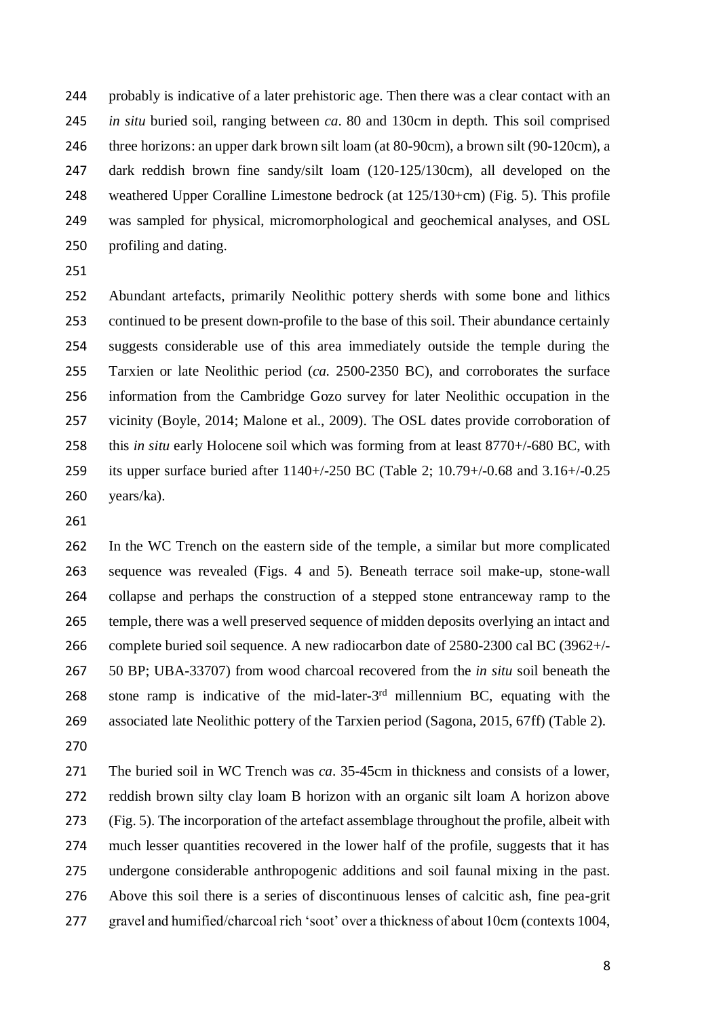probably is indicative of a later prehistoric age. Then there was a clear contact with an *in situ* buried soil, ranging between *ca*. 80 and 130cm in depth. This soil comprised three horizons: an upper dark brown silt loam (at 80-90cm), a brown silt (90-120cm), a dark reddish brown fine sandy/silt loam (120-125/130cm), all developed on the weathered Upper Coralline Limestone bedrock (at 125/130+cm) (Fig. 5). This profile was sampled for physical, micromorphological and geochemical analyses, and OSL profiling and dating.

 Abundant artefacts, primarily Neolithic pottery sherds with some bone and lithics continued to be present down-profile to the base of this soil. Their abundance certainly suggests considerable use of this area immediately outside the temple during the Tarxien or late Neolithic period (*ca.* 2500-2350 BC), and corroborates the surface information from the Cambridge Gozo survey for later Neolithic occupation in the vicinity (Boyle, 2014; Malone et al., 2009). The OSL dates provide corroboration of this *in situ* early Holocene soil which was forming from at least 8770+/-680 BC, with its upper surface buried after 1140+/-250 BC (Table 2; 10.79+/-0.68 and 3.16+/-0.25 years/ka).

 In the WC Trench on the eastern side of the temple, a similar but more complicated sequence was revealed (Figs. 4 and 5). Beneath terrace soil make-up, stone-wall collapse and perhaps the construction of a stepped stone entranceway ramp to the temple, there was a well preserved sequence of midden deposits overlying an intact and complete buried soil sequence. A new radiocarbon date of 2580-2300 cal BC (3962+/- 50 BP; UBA-33707) from wood charcoal recovered from the *in situ* soil beneath the 268 stone ramp is indicative of the mid-later- $3<sup>rd</sup>$  millennium BC, equating with the associated late Neolithic pottery of the Tarxien period (Sagona, 2015, 67ff) (Table 2). 

 The buried soil in WC Trench was *ca*. 35-45cm in thickness and consists of a lower, reddish brown silty clay loam B horizon with an organic silt loam A horizon above (Fig. 5). The incorporation of the artefact assemblage throughout the profile, albeit with much lesser quantities recovered in the lower half of the profile, suggests that it has undergone considerable anthropogenic additions and soil faunal mixing in the past. Above this soil there is a series of discontinuous lenses of calcitic ash, fine pea-grit gravel and humified/charcoal rich 'soot' over a thickness of about 10cm (contexts 1004,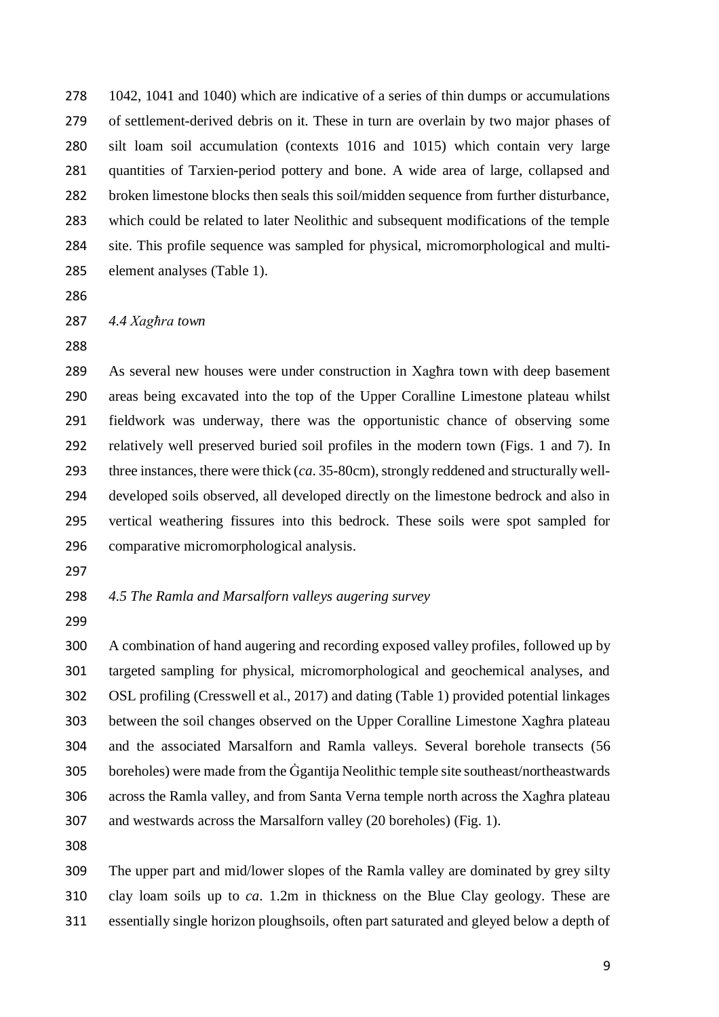1042, 1041 and 1040) which are indicative of a series of thin dumps or accumulations of settlement-derived debris on it. These in turn are overlain by two major phases of silt loam soil accumulation (contexts 1016 and 1015) which contain very large quantities of Tarxien-period pottery and bone. A wide area of large, collapsed and broken limestone blocks then seals this soil/midden sequence from further disturbance, which could be related to later Neolithic and subsequent modifications of the temple site. This profile sequence was sampled for physical, micromorphological and multi-element analyses (Table 1).

*4.4 Xagħra town*

 As several new houses were under construction in Xagħra town with deep basement areas being excavated into the top of the Upper Coralline Limestone plateau whilst fieldwork was underway, there was the opportunistic chance of observing some relatively well preserved buried soil profiles in the modern town (Figs. 1 and 7). In three instances, there were thick (*ca*. 35-80cm), strongly reddened and structurally well- developed soils observed, all developed directly on the limestone bedrock and also in vertical weathering fissures into this bedrock. These soils were spot sampled for comparative micromorphological analysis.

*4.5 The Ramla and Marsalforn valleys augering survey*

 A combination of hand augering and recording exposed valley profiles, followed up by targeted sampling for physical, micromorphological and geochemical analyses, and OSL profiling (Cresswell et al., 2017) and dating (Table 1) provided potential linkages between the soil changes observed on the Upper Coralline Limestone Xagħra plateau and the associated Marsalforn and Ramla valleys. Several borehole transects (56 boreholes) were made from the Ġgantija Neolithic temple site southeast/northeastwards across the Ramla valley, and from Santa Verna temple north across the Xagħra plateau and westwards across the Marsalforn valley (20 boreholes) (Fig. 1).

 The upper part and mid/lower slopes of the Ramla valley are dominated by grey silty clay loam soils up to *ca*. 1.2m in thickness on the Blue Clay geology. These are essentially single horizon ploughsoils, often part saturated and gleyed below a depth of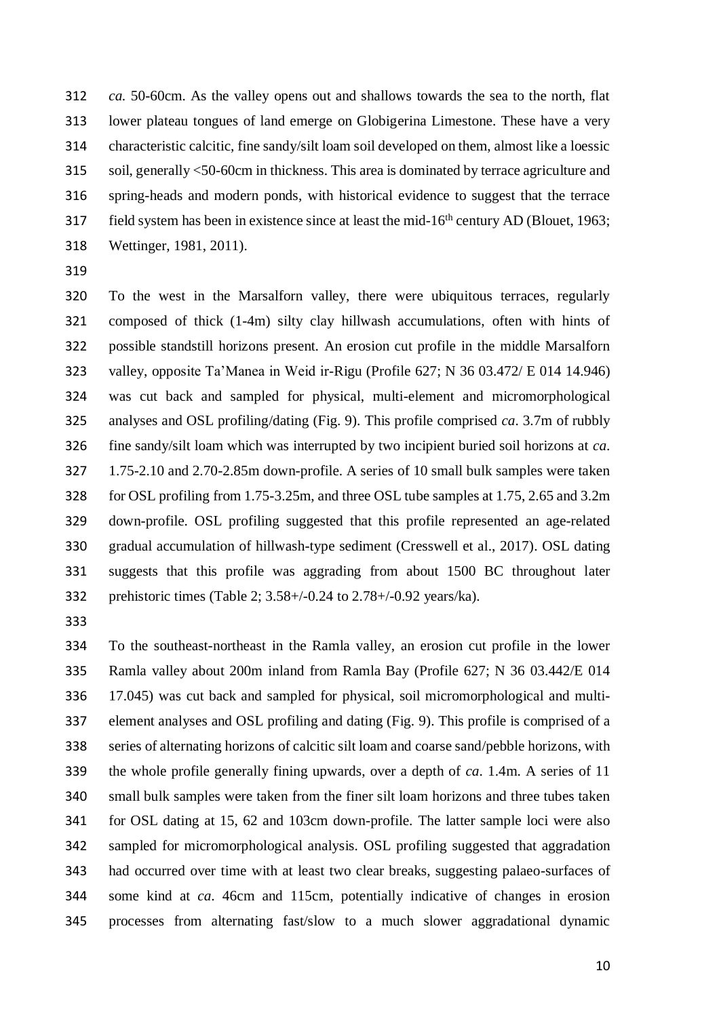*ca.* 50-60cm. As the valley opens out and shallows towards the sea to the north, flat lower plateau tongues of land emerge on Globigerina Limestone. These have a very characteristic calcitic, fine sandy/silt loam soil developed on them, almost like a loessic soil, generally <50-60cm in thickness. This area is dominated by terrace agriculture and spring-heads and modern ponds, with historical evidence to suggest that the terrace field system has been in existence since at least the mid-16<sup>th</sup> century AD (Blouet, 1963; Wettinger, 1981, 2011).

 To the west in the Marsalforn valley, there were ubiquitous terraces, regularly composed of thick (1-4m) silty clay hillwash accumulations, often with hints of possible standstill horizons present. An erosion cut profile in the middle Marsalforn valley, opposite Ta'Manea in Weid ir-Rigu (Profile 627; N 36 03.472/ E 014 14.946) was cut back and sampled for physical, multi-element and micromorphological analyses and OSL profiling/dating (Fig. 9). This profile comprised *ca*. 3.7m of rubbly fine sandy/silt loam which was interrupted by two incipient buried soil horizons at *ca*. 1.75-2.10 and 2.70-2.85m down-profile. A series of 10 small bulk samples were taken for OSL profiling from 1.75-3.25m, and three OSL tube samples at 1.75, 2.65 and 3.2m down-profile. OSL profiling suggested that this profile represented an age-related gradual accumulation of hillwash-type sediment (Cresswell et al., 2017). OSL dating suggests that this profile was aggrading from about 1500 BC throughout later prehistoric times (Table 2; 3.58+/-0.24 to 2.78+/-0.92 years/ka).

 To the southeast-northeast in the Ramla valley, an erosion cut profile in the lower Ramla valley about 200m inland from Ramla Bay (Profile 627; N 36 03.442/E 014 17.045) was cut back and sampled for physical, soil micromorphological and multi- element analyses and OSL profiling and dating (Fig. 9). This profile is comprised of a series of alternating horizons of calcitic silt loam and coarse sand/pebble horizons, with the whole profile generally fining upwards, over a depth of *ca*. 1.4m. A series of 11 small bulk samples were taken from the finer silt loam horizons and three tubes taken for OSL dating at 15, 62 and 103cm down-profile. The latter sample loci were also sampled for micromorphological analysis. OSL profiling suggested that aggradation had occurred over time with at least two clear breaks, suggesting palaeo-surfaces of some kind at *ca*. 46cm and 115cm, potentially indicative of changes in erosion processes from alternating fast/slow to a much slower aggradational dynamic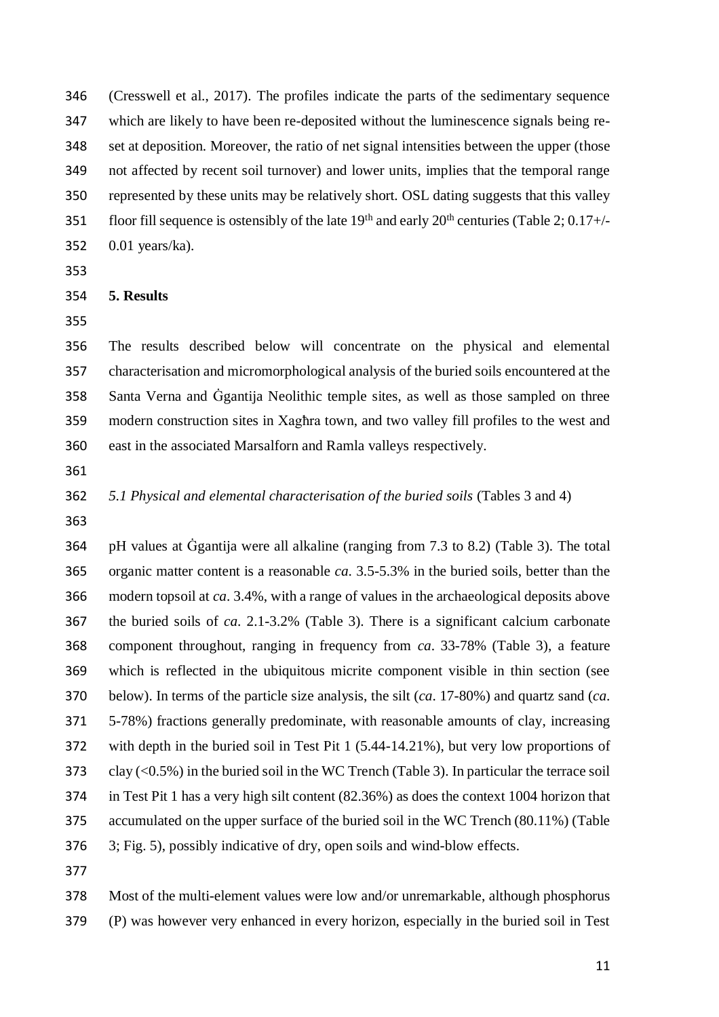(Cresswell et al., 2017). The profiles indicate the parts of the sedimentary sequence which are likely to have been re-deposited without the luminescence signals being re- set at deposition. Moreover, the ratio of net signal intensities between the upper (those not affected by recent soil turnover) and lower units, implies that the temporal range represented by these units may be relatively short. OSL dating suggests that this valley 351 floor fill sequence is ostensibly of the late  $19<sup>th</sup>$  and early  $20<sup>th</sup>$  centuries (Table 2; 0.17+/-0.01 years/ka).

### **5. Results**

 The results described below will concentrate on the physical and elemental characterisation and micromorphological analysis of the buried soils encountered at the Santa Verna and Ġgantija Neolithic temple sites, as well as those sampled on three modern construction sites in Xagħra town, and two valley fill profiles to the west and east in the associated Marsalforn and Ramla valleys respectively.

- 
- 

*5.1 Physical and elemental characterisation of the buried soils* (Tables 3 and 4)

 pH values at Ġgantija were all alkaline (ranging from 7.3 to 8.2) (Table 3). The total organic matter content is a reasonable *ca*. 3.5-5.3% in the buried soils, better than the modern topsoil at *ca*. 3.4%, with a range of values in the archaeological deposits above the buried soils of *ca*. 2.1-3.2% (Table 3). There is a significant calcium carbonate component throughout, ranging in frequency from *ca*. 33-78% (Table 3), a feature which is reflected in the ubiquitous micrite component visible in thin section (see below). In terms of the particle size analysis, the silt (*ca*. 17-80%) and quartz sand (*ca*. 5-78%) fractions generally predominate, with reasonable amounts of clay, increasing with depth in the buried soil in Test Pit 1 (5.44-14.21%), but very low proportions of clay (<0.5%) in the buried soil in the WC Trench (Table 3). In particular the terrace soil in Test Pit 1 has a very high silt content (82.36%) as does the context 1004 horizon that accumulated on the upper surface of the buried soil in the WC Trench (80.11%) (Table 3; Fig. 5), possibly indicative of dry, open soils and wind-blow effects.

 Most of the multi-element values were low and/or unremarkable, although phosphorus (P) was however very enhanced in every horizon, especially in the buried soil in Test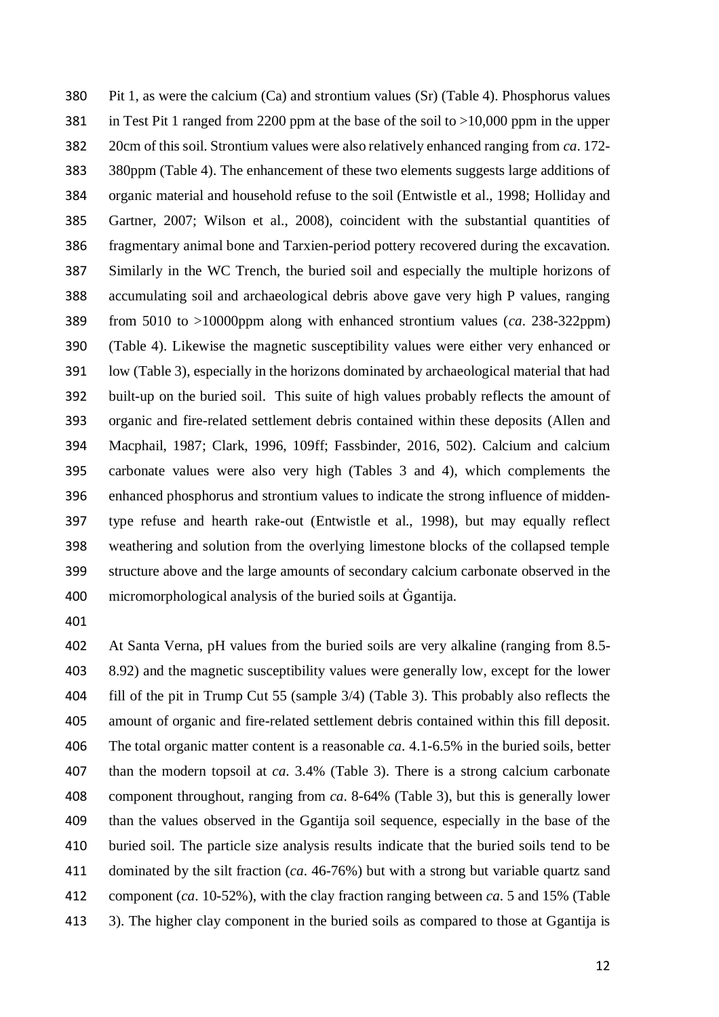Pit 1, as were the calcium (Ca) and strontium values (Sr) (Table 4). Phosphorus values in Test Pit 1 ranged from 2200 ppm at the base of the soil to >10,000 ppm in the upper 20cm of this soil. Strontium values were also relatively enhanced ranging from *ca*. 172- 380ppm (Table 4). The enhancement of these two elements suggests large additions of organic material and household refuse to the soil (Entwistle et al., 1998; Holliday and Gartner, 2007; Wilson et al., 2008), coincident with the substantial quantities of fragmentary animal bone and Tarxien-period pottery recovered during the excavation. Similarly in the WC Trench, the buried soil and especially the multiple horizons of accumulating soil and archaeological debris above gave very high P values, ranging from 5010 to >10000ppm along with enhanced strontium values (*ca*. 238-322ppm) (Table 4). Likewise the magnetic susceptibility values were either very enhanced or low (Table 3), especially in the horizons dominated by archaeological material that had built-up on the buried soil. This suite of high values probably reflects the amount of organic and fire-related settlement debris contained within these deposits (Allen and Macphail, 1987; Clark, 1996, 109ff; Fassbinder, 2016, 502). Calcium and calcium carbonate values were also very high (Tables 3 and 4), which complements the enhanced phosphorus and strontium values to indicate the strong influence of midden- type refuse and hearth rake-out (Entwistle et al., 1998), but may equally reflect weathering and solution from the overlying limestone blocks of the collapsed temple structure above and the large amounts of secondary calcium carbonate observed in the micromorphological analysis of the buried soils at Ġgantija.

 At Santa Verna, pH values from the buried soils are very alkaline (ranging from 8.5- 8.92) and the magnetic susceptibility values were generally low, except for the lower fill of the pit in Trump Cut 55 (sample 3/4) (Table 3). This probably also reflects the amount of organic and fire-related settlement debris contained within this fill deposit. The total organic matter content is a reasonable *ca*. 4.1-6.5% in the buried soils, better than the modern topsoil at *ca*. 3.4% (Table 3). There is a strong calcium carbonate component throughout, ranging from *ca*. 8-64% (Table 3), but this is generally lower than the values observed in the Ggantija soil sequence, especially in the base of the buried soil. The particle size analysis results indicate that the buried soils tend to be dominated by the silt fraction (*ca*. 46-76%) but with a strong but variable quartz sand component (*ca*. 10-52%), with the clay fraction ranging between *ca*. 5 and 15% (Table 3). The higher clay component in the buried soils as compared to those at Ggantija is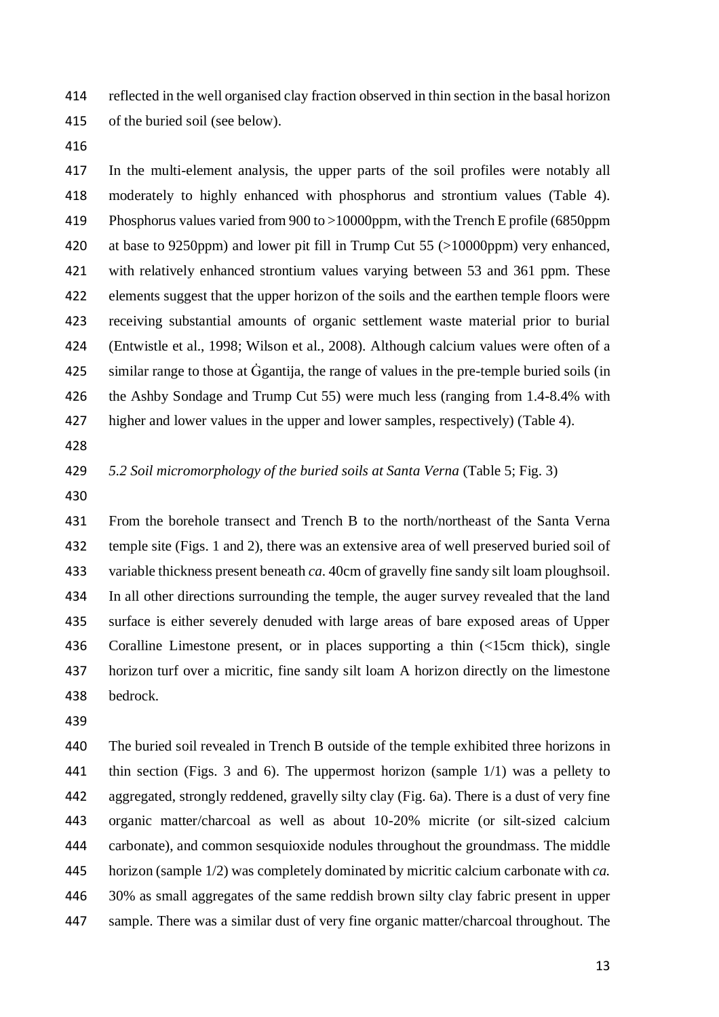reflected in the well organised clay fraction observed in thin section in the basal horizon of the buried soil (see below).

 In the multi-element analysis, the upper parts of the soil profiles were notably all moderately to highly enhanced with phosphorus and strontium values (Table 4). Phosphorus values varied from 900 to >10000ppm, with the Trench E profile (6850ppm at base to 9250ppm) and lower pit fill in Trump Cut 55 (>10000ppm) very enhanced, with relatively enhanced strontium values varying between 53 and 361 ppm. These elements suggest that the upper horizon of the soils and the earthen temple floors were receiving substantial amounts of organic settlement waste material prior to burial (Entwistle et al., 1998; Wilson et al., 2008). Although calcium values were often of a similar range to those at Ġgantija, the range of values in the pre-temple buried soils (in the Ashby Sondage and Trump Cut 55) were much less (ranging from 1.4-8.4% with higher and lower values in the upper and lower samples, respectively) (Table 4).

*5.2 Soil micromorphology of the buried soils at Santa Verna* (Table 5; Fig. 3)

 From the borehole transect and Trench B to the north/northeast of the Santa Verna temple site (Figs. 1 and 2), there was an extensive area of well preserved buried soil of variable thickness present beneath *ca*. 40cm of gravelly fine sandy silt loam ploughsoil. In all other directions surrounding the temple, the auger survey revealed that the land surface is either severely denuded with large areas of bare exposed areas of Upper Coralline Limestone present, or in places supporting a thin (<15cm thick), single horizon turf over a micritic, fine sandy silt loam A horizon directly on the limestone bedrock.

 The buried soil revealed in Trench B outside of the temple exhibited three horizons in thin section (Figs. 3 and 6). The uppermost horizon (sample 1/1) was a pellety to aggregated, strongly reddened, gravelly silty clay (Fig. 6a). There is a dust of very fine organic matter/charcoal as well as about 10-20% micrite (or silt-sized calcium carbonate), and common sesquioxide nodules throughout the groundmass. The middle horizon (sample 1/2) was completely dominated by micritic calcium carbonate with *ca.* 30% as small aggregates of the same reddish brown silty clay fabric present in upper sample. There was a similar dust of very fine organic matter/charcoal throughout. The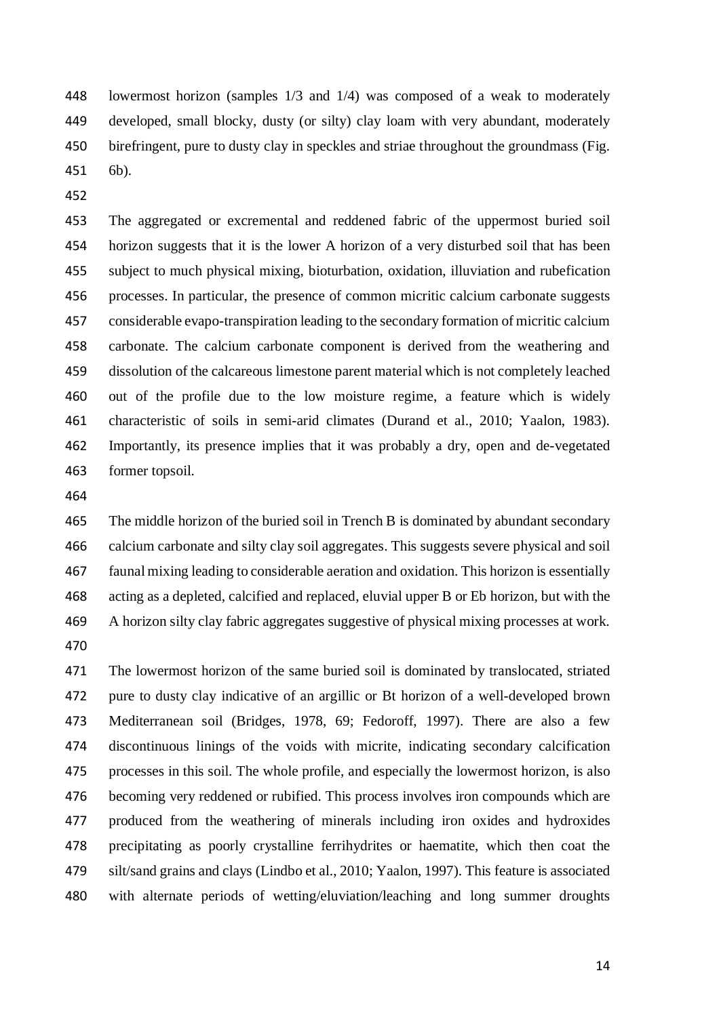lowermost horizon (samples 1/3 and 1/4) was composed of a weak to moderately developed, small blocky, dusty (or silty) clay loam with very abundant, moderately birefringent, pure to dusty clay in speckles and striae throughout the groundmass (Fig. 6b).

 The aggregated or excremental and reddened fabric of the uppermost buried soil horizon suggests that it is the lower A horizon of a very disturbed soil that has been subject to much physical mixing, bioturbation, oxidation, illuviation and rubefication processes. In particular, the presence of common micritic calcium carbonate suggests considerable evapo-transpiration leading to the secondary formation of micritic calcium carbonate. The calcium carbonate component is derived from the weathering and dissolution of the calcareous limestone parent material which is not completely leached out of the profile due to the low moisture regime, a feature which is widely characteristic of soils in semi-arid climates (Durand et al., 2010; Yaalon, 1983). Importantly, its presence implies that it was probably a dry, open and de-vegetated former topsoil.

 The middle horizon of the buried soil in Trench B is dominated by abundant secondary calcium carbonate and silty clay soil aggregates. This suggests severe physical and soil faunal mixing leading to considerable aeration and oxidation. This horizon is essentially acting as a depleted, calcified and replaced, eluvial upper B or Eb horizon, but with the A horizon silty clay fabric aggregates suggestive of physical mixing processes at work.

 The lowermost horizon of the same buried soil is dominated by translocated, striated pure to dusty clay indicative of an argillic or Bt horizon of a well-developed brown Mediterranean soil (Bridges, 1978, 69; Fedoroff, 1997). There are also a few discontinuous linings of the voids with micrite, indicating secondary calcification processes in this soil. The whole profile, and especially the lowermost horizon, is also becoming very reddened or rubified. This process involves iron compounds which are produced from the weathering of minerals including iron oxides and hydroxides precipitating as poorly crystalline ferrihydrites or haematite, which then coat the silt/sand grains and clays (Lindbo et al., 2010; Yaalon, 1997). This feature is associated with alternate periods of wetting/eluviation/leaching and long summer droughts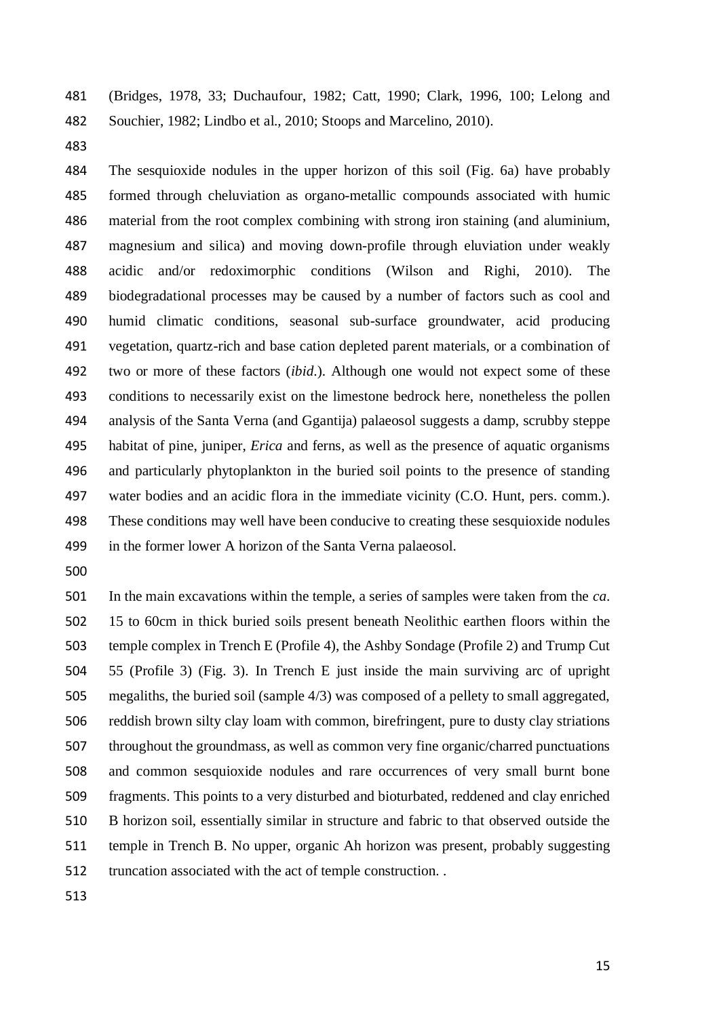(Bridges, 1978, 33; Duchaufour, 1982; Catt, 1990; Clark, 1996, 100; Lelong and Souchier, 1982; Lindbo et al., 2010; Stoops and Marcelino, 2010).

 The sesquioxide nodules in the upper horizon of this soil (Fig. 6a) have probably formed through cheluviation as organo-metallic compounds associated with humic material from the root complex combining with strong iron staining (and aluminium, magnesium and silica) and moving down-profile through eluviation under weakly acidic and/or redoximorphic conditions (Wilson and Righi, 2010). The biodegradational processes may be caused by a number of factors such as cool and humid climatic conditions, seasonal sub-surface groundwater, acid producing vegetation, quartz-rich and base cation depleted parent materials, or a combination of two or more of these factors (*ibid*.). Although one would not expect some of these conditions to necessarily exist on the limestone bedrock here, nonetheless the pollen analysis of the Santa Verna (and Ggantija) palaeosol suggests a damp, scrubby steppe habitat of pine, juniper, *Erica* and ferns, as well as the presence of aquatic organisms and particularly phytoplankton in the buried soil points to the presence of standing water bodies and an acidic flora in the immediate vicinity (C.O. Hunt, pers. comm.). These conditions may well have been conducive to creating these sesquioxide nodules in the former lower A horizon of the Santa Verna palaeosol.

 In the main excavations within the temple, a series of samples were taken from the *ca*. 15 to 60cm in thick buried soils present beneath Neolithic earthen floors within the temple complex in Trench E (Profile 4), the Ashby Sondage (Profile 2) and Trump Cut 55 (Profile 3) (Fig. 3). In Trench E just inside the main surviving arc of upright megaliths, the buried soil (sample 4/3) was composed of a pellety to small aggregated, reddish brown silty clay loam with common, birefringent, pure to dusty clay striations throughout the groundmass, as well as common very fine organic/charred punctuations and common sesquioxide nodules and rare occurrences of very small burnt bone fragments. This points to a very disturbed and bioturbated, reddened and clay enriched B horizon soil, essentially similar in structure and fabric to that observed outside the temple in Trench B. No upper, organic Ah horizon was present, probably suggesting truncation associated with the act of temple construction. .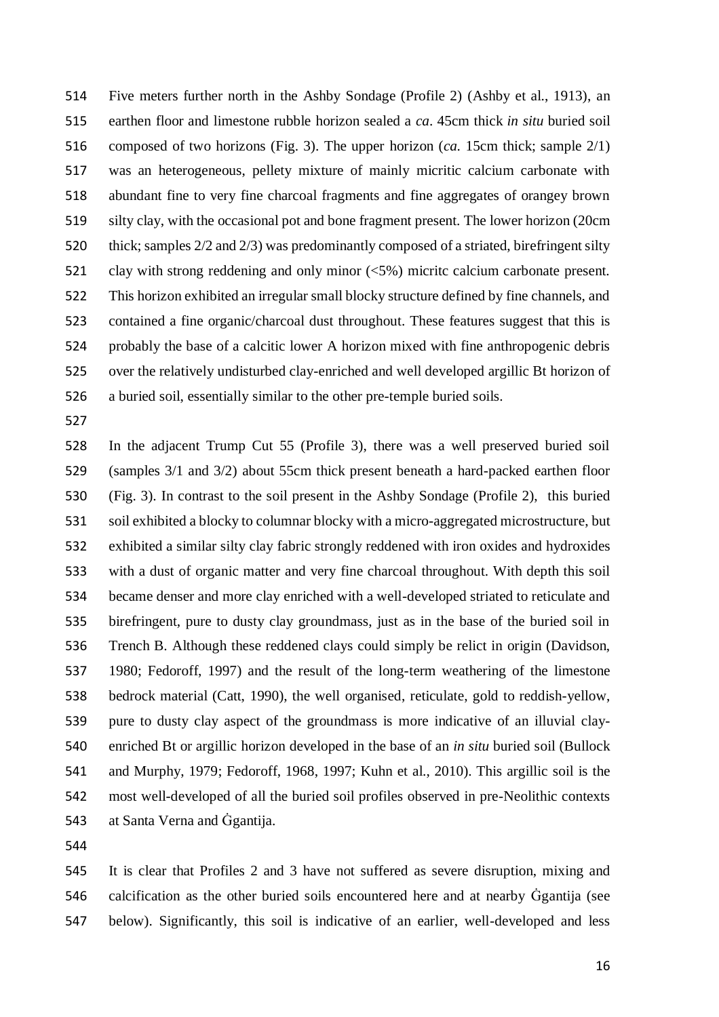Five meters further north in the Ashby Sondage (Profile 2) (Ashby et al., 1913), an earthen floor and limestone rubble horizon sealed a *ca*. 45cm thick *in situ* buried soil composed of two horizons (Fig. 3). The upper horizon (*ca.* 15cm thick; sample 2/1) was an heterogeneous, pellety mixture of mainly micritic calcium carbonate with abundant fine to very fine charcoal fragments and fine aggregates of orangey brown silty clay, with the occasional pot and bone fragment present. The lower horizon (20cm thick; samples 2/2 and 2/3) was predominantly composed of a striated, birefringent silty clay with strong reddening and only minor (<5%) micritc calcium carbonate present. This horizon exhibited an irregular small blocky structure defined by fine channels, and contained a fine organic/charcoal dust throughout. These features suggest that this is probably the base of a calcitic lower A horizon mixed with fine anthropogenic debris over the relatively undisturbed clay-enriched and well developed argillic Bt horizon of a buried soil, essentially similar to the other pre-temple buried soils.

 In the adjacent Trump Cut 55 (Profile 3), there was a well preserved buried soil (samples 3/1 and 3/2) about 55cm thick present beneath a hard-packed earthen floor (Fig. 3). In contrast to the soil present in the Ashby Sondage (Profile 2), this buried soil exhibited a blocky to columnar blocky with a micro-aggregated microstructure, but exhibited a similar silty clay fabric strongly reddened with iron oxides and hydroxides with a dust of organic matter and very fine charcoal throughout. With depth this soil became denser and more clay enriched with a well-developed striated to reticulate and birefringent, pure to dusty clay groundmass, just as in the base of the buried soil in Trench B. Although these reddened clays could simply be relict in origin (Davidson, 1980; Fedoroff, 1997) and the result of the long-term weathering of the limestone bedrock material (Catt, 1990), the well organised, reticulate, gold to reddish-yellow, pure to dusty clay aspect of the groundmass is more indicative of an illuvial clay- enriched Bt or argillic horizon developed in the base of an *in situ* buried soil (Bullock and Murphy, 1979; Fedoroff, 1968, 1997; Kuhn et al., 2010). This argillic soil is the most well-developed of all the buried soil profiles observed in pre-Neolithic contexts at Santa Verna and Ġgantija.

 It is clear that Profiles 2 and 3 have not suffered as severe disruption, mixing and calcification as the other buried soils encountered here and at nearby Ġgantija (see below). Significantly, this soil is indicative of an earlier, well-developed and less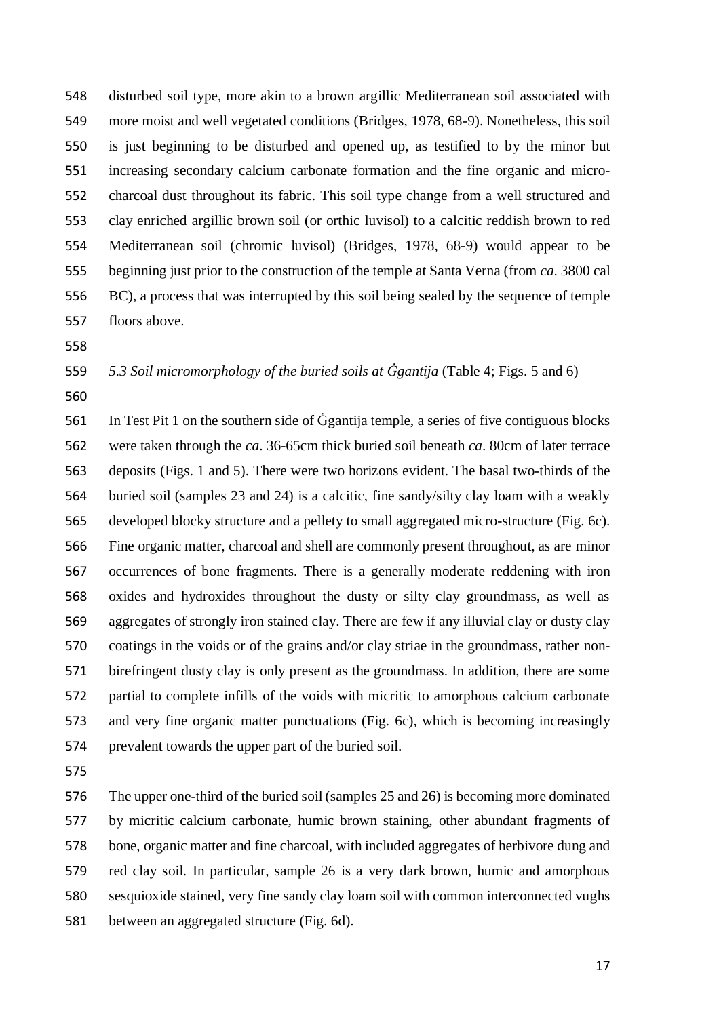disturbed soil type, more akin to a brown argillic Mediterranean soil associated with more moist and well vegetated conditions (Bridges, 1978, 68-9). Nonetheless, this soil is just beginning to be disturbed and opened up, as testified to by the minor but increasing secondary calcium carbonate formation and the fine organic and micro- charcoal dust throughout its fabric. This soil type change from a well structured and clay enriched argillic brown soil (or orthic luvisol) to a calcitic reddish brown to red Mediterranean soil (chromic luvisol) (Bridges, 1978, 68-9) would appear to be beginning just prior to the construction of the temple at Santa Verna (from *ca*. 3800 cal BC), a process that was interrupted by this soil being sealed by the sequence of temple floors above.

### *5.3 Soil micromorphology of the buried soils at Ġgantija* (Table 4; Figs. 5 and 6)

 In Test Pit 1 on the southern side of Ġgantija temple, a series of five contiguous blocks were taken through the *ca*. 36-65cm thick buried soil beneath *ca*. 80cm of later terrace deposits (Figs. 1 and 5). There were two horizons evident. The basal two-thirds of the buried soil (samples 23 and 24) is a calcitic, fine sandy/silty clay loam with a weakly developed blocky structure and a pellety to small aggregated micro-structure (Fig. 6c). Fine organic matter, charcoal and shell are commonly present throughout, as are minor occurrences of bone fragments. There is a generally moderate reddening with iron oxides and hydroxides throughout the dusty or silty clay groundmass, as well as aggregates of strongly iron stained clay. There are few if any illuvial clay or dusty clay coatings in the voids or of the grains and/or clay striae in the groundmass, rather non- birefringent dusty clay is only present as the groundmass. In addition, there are some partial to complete infills of the voids with micritic to amorphous calcium carbonate and very fine organic matter punctuations (Fig. 6c), which is becoming increasingly prevalent towards the upper part of the buried soil.

 The upper one-third of the buried soil (samples 25 and 26) is becoming more dominated by micritic calcium carbonate, humic brown staining, other abundant fragments of bone, organic matter and fine charcoal, with included aggregates of herbivore dung and red clay soil. In particular, sample 26 is a very dark brown, humic and amorphous sesquioxide stained, very fine sandy clay loam soil with common interconnected vughs between an aggregated structure (Fig. 6d).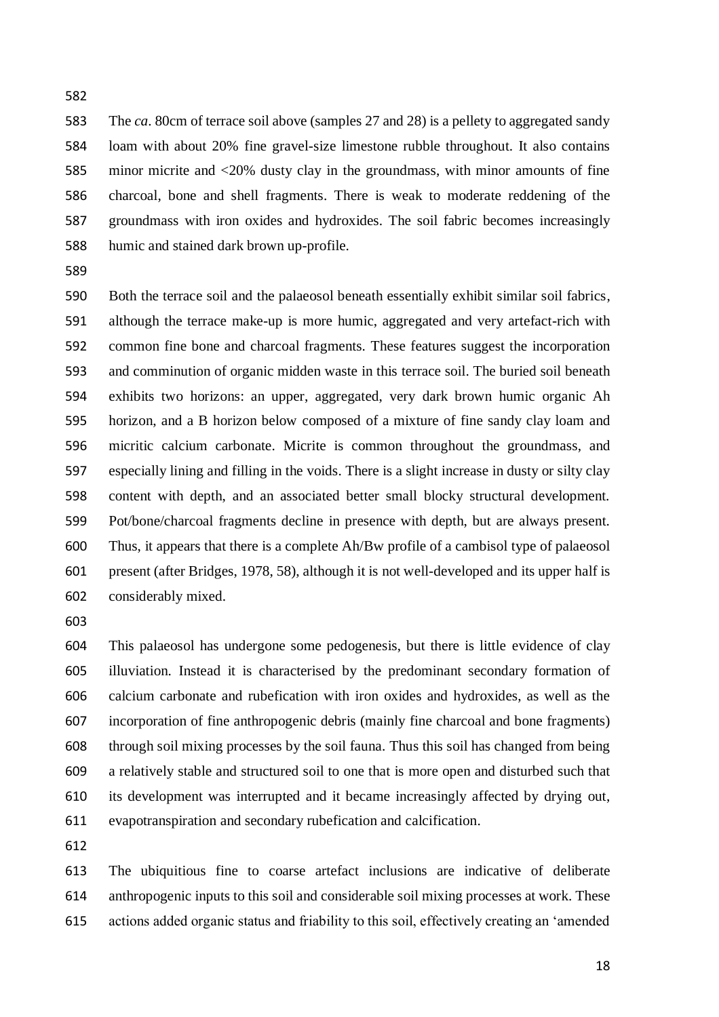The *ca*. 80cm of terrace soil above (samples 27 and 28) is a pellety to aggregated sandy loam with about 20% fine gravel-size limestone rubble throughout. It also contains minor micrite and <20% dusty clay in the groundmass, with minor amounts of fine charcoal, bone and shell fragments. There is weak to moderate reddening of the groundmass with iron oxides and hydroxides. The soil fabric becomes increasingly humic and stained dark brown up-profile.

 Both the terrace soil and the palaeosol beneath essentially exhibit similar soil fabrics, although the terrace make-up is more humic, aggregated and very artefact-rich with common fine bone and charcoal fragments. These features suggest the incorporation and comminution of organic midden waste in this terrace soil. The buried soil beneath exhibits two horizons: an upper, aggregated, very dark brown humic organic Ah horizon, and a B horizon below composed of a mixture of fine sandy clay loam and micritic calcium carbonate. Micrite is common throughout the groundmass, and especially lining and filling in the voids. There is a slight increase in dusty or silty clay content with depth, and an associated better small blocky structural development. Pot/bone/charcoal fragments decline in presence with depth, but are always present. Thus, it appears that there is a complete Ah/Bw profile of a cambisol type of palaeosol present (after Bridges, 1978, 58), although it is not well-developed and its upper half is considerably mixed.

 This palaeosol has undergone some pedogenesis, but there is little evidence of clay illuviation. Instead it is characterised by the predominant secondary formation of calcium carbonate and rubefication with iron oxides and hydroxides, as well as the incorporation of fine anthropogenic debris (mainly fine charcoal and bone fragments) through soil mixing processes by the soil fauna. Thus this soil has changed from being a relatively stable and structured soil to one that is more open and disturbed such that its development was interrupted and it became increasingly affected by drying out, evapotranspiration and secondary rubefication and calcification.

 The ubiquitious fine to coarse artefact inclusions are indicative of deliberate anthropogenic inputs to this soil and considerable soil mixing processes at work. These actions added organic status and friability to this soil, effectively creating an 'amended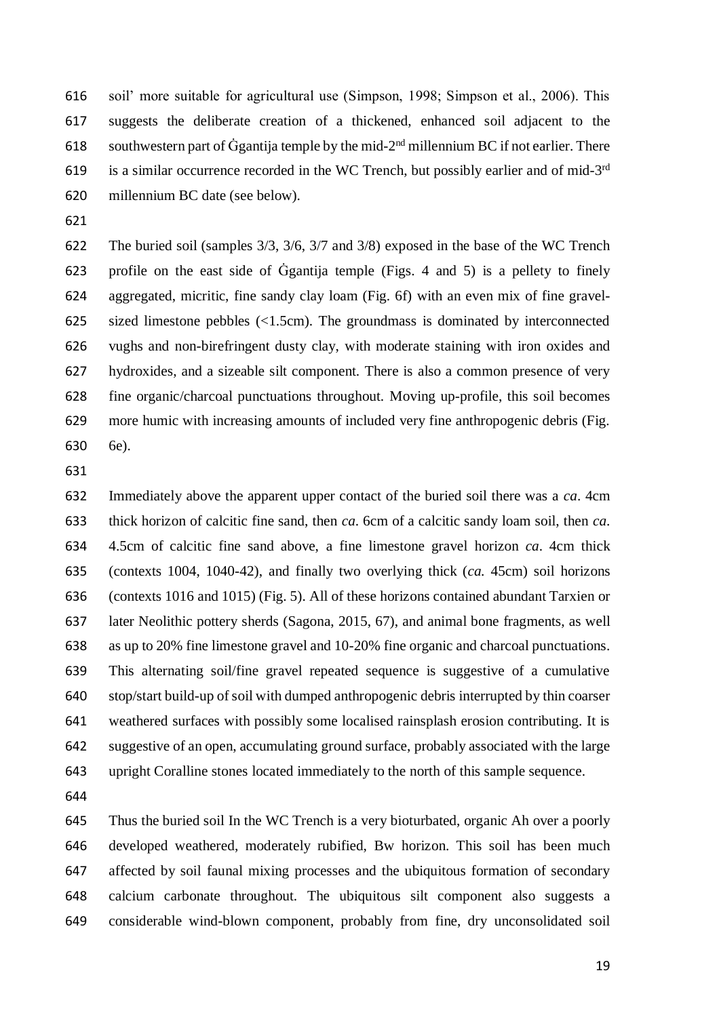soil' more suitable for agricultural use (Simpson, 1998; Simpson et al., 2006). This suggests the deliberate creation of a thickened, enhanced soil adjacent to the 618 southwestern part of Ggantija temple by the mid- $2<sup>nd</sup>$  millennium BC if not earlier. There 619 is a similar occurrence recorded in the WC Trench, but possibly earlier and of mid- $3<sup>rd</sup>$ millennium BC date (see below).

 The buried soil (samples 3/3, 3/6, 3/7 and 3/8) exposed in the base of the WC Trench profile on the east side of Ġgantija temple (Figs. 4 and 5) is a pellety to finely aggregated, micritic, fine sandy clay loam (Fig. 6f) with an even mix of fine gravel- sized limestone pebbles (<1.5cm). The groundmass is dominated by interconnected vughs and non-birefringent dusty clay, with moderate staining with iron oxides and hydroxides, and a sizeable silt component. There is also a common presence of very fine organic/charcoal punctuations throughout. Moving up-profile, this soil becomes more humic with increasing amounts of included very fine anthropogenic debris (Fig. 6e).

 Immediately above the apparent upper contact of the buried soil there was a *ca*. 4cm thick horizon of calcitic fine sand, then *ca*. 6cm of a calcitic sandy loam soil, then *ca*. 4.5cm of calcitic fine sand above, a fine limestone gravel horizon *ca*. 4cm thick (contexts 1004, 1040-42), and finally two overlying thick (*ca.* 45cm) soil horizons (contexts 1016 and 1015) (Fig. 5). All of these horizons contained abundant Tarxien or later Neolithic pottery sherds (Sagona, 2015, 67), and animal bone fragments, as well as up to 20% fine limestone gravel and 10-20% fine organic and charcoal punctuations. This alternating soil/fine gravel repeated sequence is suggestive of a cumulative stop/start build-up of soil with dumped anthropogenic debris interrupted by thin coarser weathered surfaces with possibly some localised rainsplash erosion contributing. It is suggestive of an open, accumulating ground surface, probably associated with the large upright Coralline stones located immediately to the north of this sample sequence.

 Thus the buried soil In the WC Trench is a very bioturbated, organic Ah over a poorly developed weathered, moderately rubified, Bw horizon. This soil has been much affected by soil faunal mixing processes and the ubiquitous formation of secondary calcium carbonate throughout. The ubiquitous silt component also suggests a considerable wind-blown component, probably from fine, dry unconsolidated soil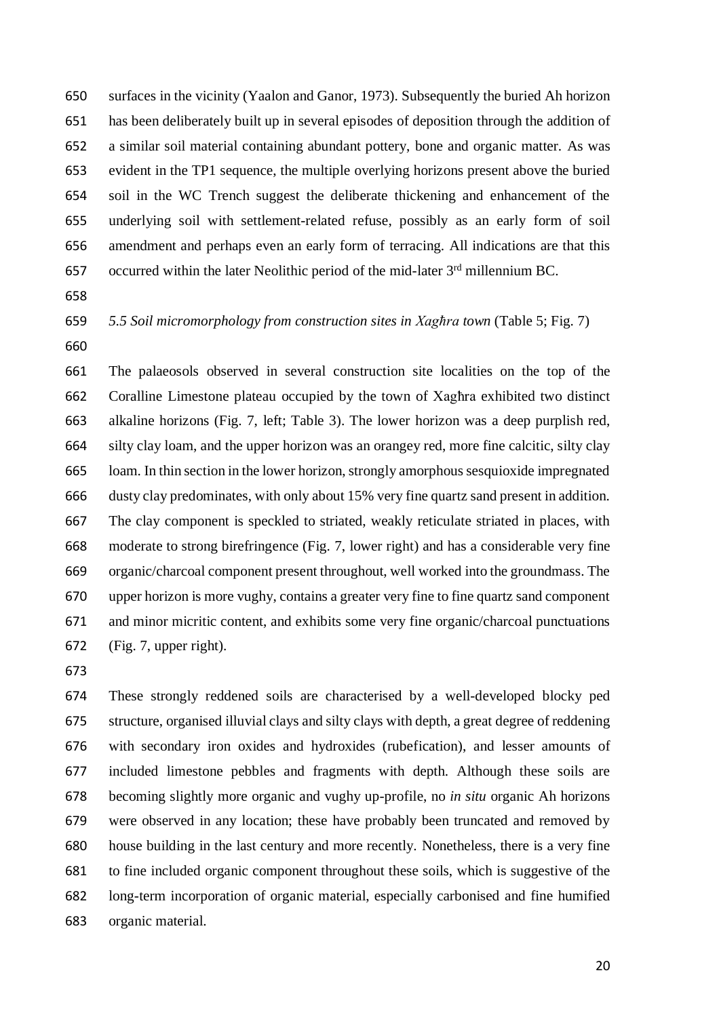surfaces in the vicinity (Yaalon and Ganor, 1973). Subsequently the buried Ah horizon has been deliberately built up in several episodes of deposition through the addition of a similar soil material containing abundant pottery, bone and organic matter. As was evident in the TP1 sequence, the multiple overlying horizons present above the buried soil in the WC Trench suggest the deliberate thickening and enhancement of the underlying soil with settlement-related refuse, possibly as an early form of soil amendment and perhaps even an early form of terracing. All indications are that this 657 occurred within the later Neolithic period of the mid-later  $3<sup>rd</sup>$  millennium BC.

- 
- 

*5.5 Soil micromorphology from construction sites in Xagħra town* (Table 5; Fig. 7)

 The palaeosols observed in several construction site localities on the top of the Coralline Limestone plateau occupied by the town of Xagħra exhibited two distinct alkaline horizons (Fig. 7, left; Table 3). The lower horizon was a deep purplish red, silty clay loam, and the upper horizon was an orangey red, more fine calcitic, silty clay loam. In thin section in the lower horizon, strongly amorphous sesquioxide impregnated dusty clay predominates, with only about 15% very fine quartz sand present in addition. The clay component is speckled to striated, weakly reticulate striated in places, with moderate to strong birefringence (Fig. 7, lower right) and has a considerable very fine organic/charcoal component present throughout, well worked into the groundmass. The upper horizon is more vughy, contains a greater very fine to fine quartz sand component and minor micritic content, and exhibits some very fine organic/charcoal punctuations (Fig. 7, upper right).

 These strongly reddened soils are characterised by a well-developed blocky ped structure, organised illuvial clays and silty clays with depth, a great degree of reddening with secondary iron oxides and hydroxides (rubefication), and lesser amounts of included limestone pebbles and fragments with depth. Although these soils are becoming slightly more organic and vughy up-profile, no *in situ* organic Ah horizons were observed in any location; these have probably been truncated and removed by house building in the last century and more recently. Nonetheless, there is a very fine to fine included organic component throughout these soils, which is suggestive of the long-term incorporation of organic material, especially carbonised and fine humified organic material.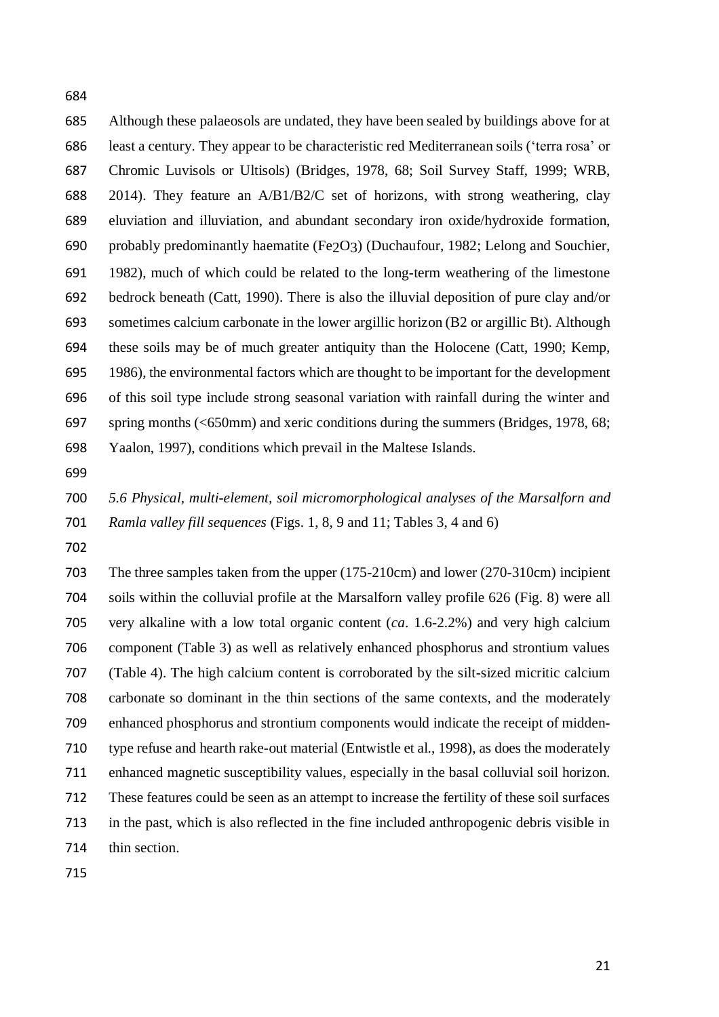Although these palaeosols are undated, they have been sealed by buildings above for at least a century. They appear to be characteristic red Mediterranean soils ('terra rosa' or Chromic Luvisols or Ultisols) (Bridges, 1978, 68; Soil Survey Staff, 1999; WRB, 2014). They feature an A/B1/B2/C set of horizons, with strong weathering, clay eluviation and illuviation, and abundant secondary iron oxide/hydroxide formation, probably predominantly haematite (Fe2O3) (Duchaufour, 1982; Lelong and Souchier, 1982), much of which could be related to the long-term weathering of the limestone bedrock beneath (Catt, 1990). There is also the illuvial deposition of pure clay and/or sometimes calcium carbonate in the lower argillic horizon (B2 or argillic Bt). Although these soils may be of much greater antiquity than the Holocene (Catt, 1990; Kemp, 1986), the environmental factors which are thought to be important for the development of this soil type include strong seasonal variation with rainfall during the winter and spring months (<650mm) and xeric conditions during the summers (Bridges, 1978, 68; Yaalon, 1997), conditions which prevail in the Maltese Islands.

 *5.6 Physical, multi-element, soil micromorphological analyses of the Marsalforn and Ramla valley fill sequences* (Figs. 1, 8, 9 and 11; Tables 3, 4 and 6)

 The three samples taken from the upper (175-210cm) and lower (270-310cm) incipient soils within the colluvial profile at the Marsalforn valley profile 626 (Fig. 8) were all very alkaline with a low total organic content (*ca*. 1.6-2.2%) and very high calcium component (Table 3) as well as relatively enhanced phosphorus and strontium values (Table 4). The high calcium content is corroborated by the silt-sized micritic calcium carbonate so dominant in the thin sections of the same contexts, and the moderately enhanced phosphorus and strontium components would indicate the receipt of midden- type refuse and hearth rake-out material (Entwistle et al., 1998), as does the moderately enhanced magnetic susceptibility values, especially in the basal colluvial soil horizon. These features could be seen as an attempt to increase the fertility of these soil surfaces in the past, which is also reflected in the fine included anthropogenic debris visible in thin section.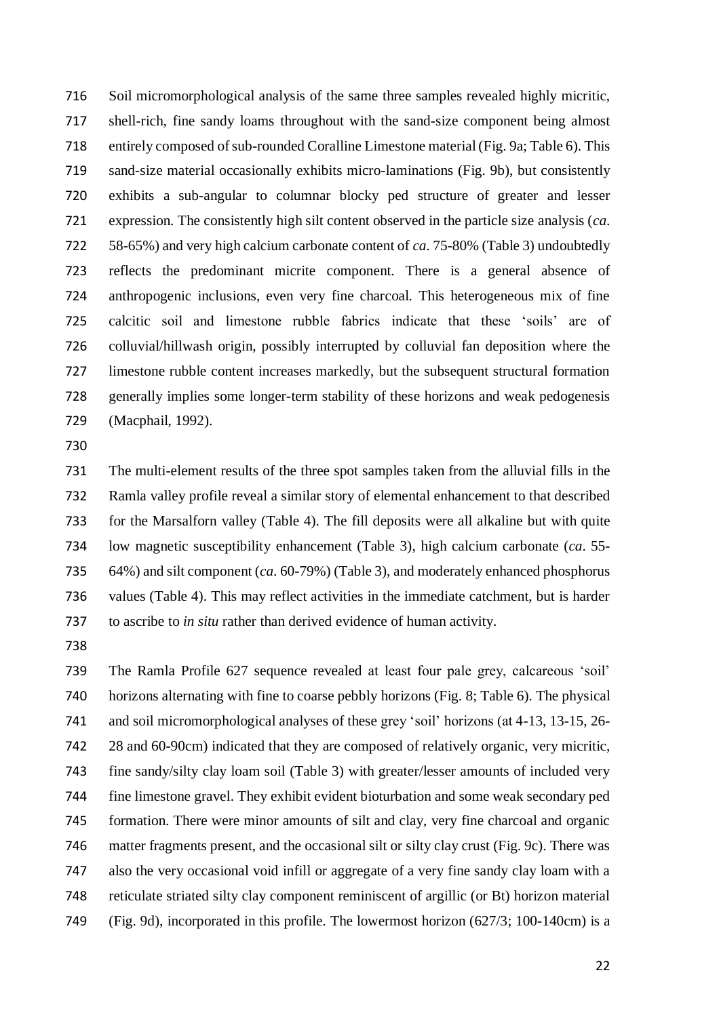Soil micromorphological analysis of the same three samples revealed highly micritic, shell-rich, fine sandy loams throughout with the sand-size component being almost entirely composed of sub-rounded Coralline Limestone material (Fig. 9a; Table 6). This sand-size material occasionally exhibits micro-laminations (Fig. 9b), but consistently exhibits a sub-angular to columnar blocky ped structure of greater and lesser expression. The consistently high silt content observed in the particle size analysis (*ca*. 58-65%) and very high calcium carbonate content of *ca*. 75-80% (Table 3) undoubtedly reflects the predominant micrite component. There is a general absence of anthropogenic inclusions, even very fine charcoal. This heterogeneous mix of fine calcitic soil and limestone rubble fabrics indicate that these 'soils' are of colluvial/hillwash origin, possibly interrupted by colluvial fan deposition where the limestone rubble content increases markedly, but the subsequent structural formation generally implies some longer-term stability of these horizons and weak pedogenesis (Macphail, 1992).

 The multi-element results of the three spot samples taken from the alluvial fills in the Ramla valley profile reveal a similar story of elemental enhancement to that described for the Marsalforn valley (Table 4). The fill deposits were all alkaline but with quite low magnetic susceptibility enhancement (Table 3), high calcium carbonate (*ca*. 55- 64%) and silt component (*ca*. 60-79%) (Table 3), and moderately enhanced phosphorus values (Table 4). This may reflect activities in the immediate catchment, but is harder to ascribe to *in situ* rather than derived evidence of human activity.

 The Ramla Profile 627 sequence revealed at least four pale grey, calcareous 'soil' horizons alternating with fine to coarse pebbly horizons (Fig. 8; Table 6). The physical and soil micromorphological analyses of these grey 'soil' horizons (at 4-13, 13-15, 26- 28 and 60-90cm) indicated that they are composed of relatively organic, very micritic, fine sandy/silty clay loam soil (Table 3) with greater/lesser amounts of included very fine limestone gravel. They exhibit evident bioturbation and some weak secondary ped formation. There were minor amounts of silt and clay, very fine charcoal and organic matter fragments present, and the occasional silt or silty clay crust (Fig. 9c). There was also the very occasional void infill or aggregate of a very fine sandy clay loam with a reticulate striated silty clay component reminiscent of argillic (or Bt) horizon material (Fig. 9d), incorporated in this profile. The lowermost horizon (627/3; 100-140cm) is a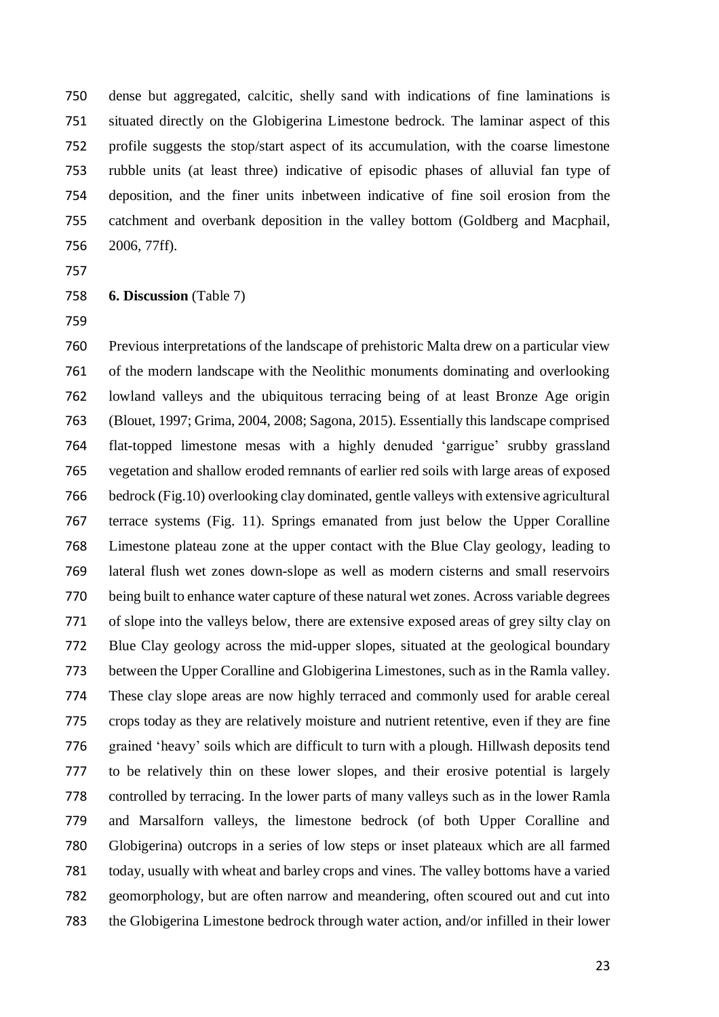dense but aggregated, calcitic, shelly sand with indications of fine laminations is situated directly on the Globigerina Limestone bedrock. The laminar aspect of this profile suggests the stop/start aspect of its accumulation, with the coarse limestone rubble units (at least three) indicative of episodic phases of alluvial fan type of deposition, and the finer units inbetween indicative of fine soil erosion from the catchment and overbank deposition in the valley bottom (Goldberg and Macphail, 2006, 77ff).

- 
- **6. Discussion** (Table 7)
- 

 Previous interpretations of the landscape of prehistoric Malta drew on a particular view of the modern landscape with the Neolithic monuments dominating and overlooking lowland valleys and the ubiquitous terracing being of at least Bronze Age origin (Blouet, 1997; Grima, 2004, 2008; Sagona, 2015). Essentially this landscape comprised flat-topped limestone mesas with a highly denuded 'garrigue' srubby grassland vegetation and shallow eroded remnants of earlier red soils with large areas of exposed bedrock (Fig.10) overlooking clay dominated, gentle valleys with extensive agricultural terrace systems (Fig. 11). Springs emanated from just below the Upper Coralline Limestone plateau zone at the upper contact with the Blue Clay geology, leading to lateral flush wet zones down-slope as well as modern cisterns and small reservoirs being built to enhance water capture of these natural wet zones. Across variable degrees of slope into the valleys below, there are extensive exposed areas of grey silty clay on Blue Clay geology across the mid-upper slopes, situated at the geological boundary between the Upper Coralline and Globigerina Limestones, such as in the Ramla valley. These clay slope areas are now highly terraced and commonly used for arable cereal crops today as they are relatively moisture and nutrient retentive, even if they are fine grained 'heavy' soils which are difficult to turn with a plough. Hillwash deposits tend to be relatively thin on these lower slopes, and their erosive potential is largely controlled by terracing. In the lower parts of many valleys such as in the lower Ramla and Marsalforn valleys, the limestone bedrock (of both Upper Coralline and Globigerina) outcrops in a series of low steps or inset plateaux which are all farmed today, usually with wheat and barley crops and vines. The valley bottoms have a varied geomorphology, but are often narrow and meandering, often scoured out and cut into the Globigerina Limestone bedrock through water action, and/or infilled in their lower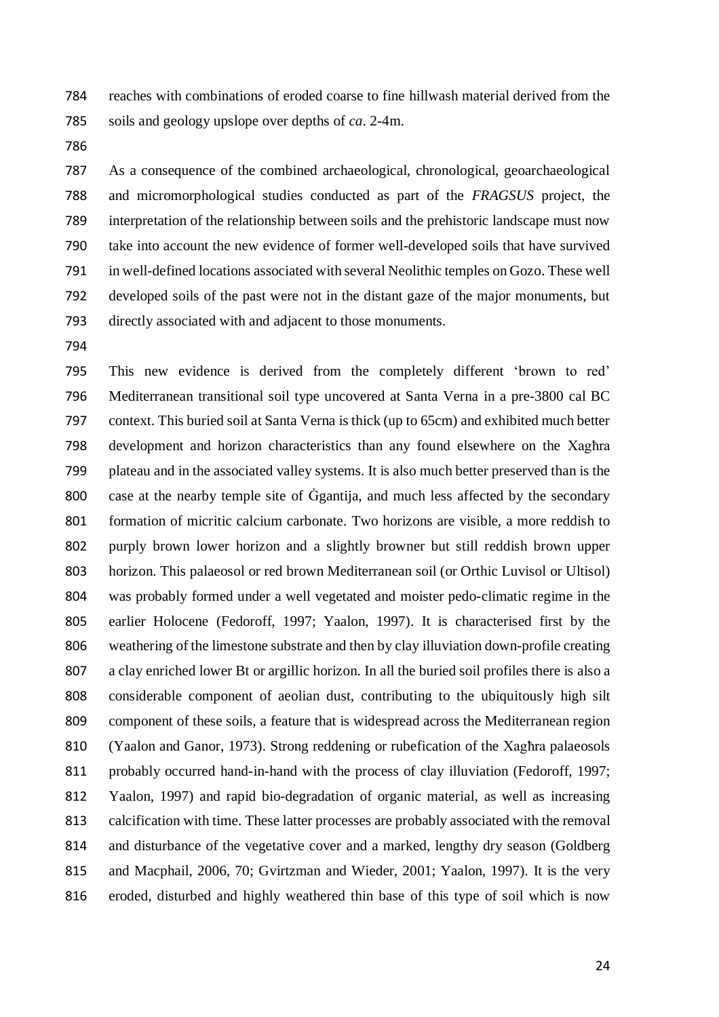reaches with combinations of eroded coarse to fine hillwash material derived from the soils and geology upslope over depths of *ca*. 2-4m.

 As a consequence of the combined archaeological, chronological, geoarchaeological and micromorphological studies conducted as part of the *FRAGSUS* project, the interpretation of the relationship between soils and the prehistoric landscape must now take into account the new evidence of former well-developed soils that have survived in well-defined locations associated with several Neolithic temples on Gozo. These well developed soils of the past were not in the distant gaze of the major monuments, but directly associated with and adjacent to those monuments.

 This new evidence is derived from the completely different 'brown to red' Mediterranean transitional soil type uncovered at Santa Verna in a pre-3800 cal BC context. This buried soil at Santa Verna is thick (up to 65cm) and exhibited much better development and horizon characteristics than any found elsewhere on the Xagħra plateau and in the associated valley systems. It is also much better preserved than is the case at the nearby temple site of Ġgantija, and much less affected by the secondary formation of micritic calcium carbonate. Two horizons are visible, a more reddish to purply brown lower horizon and a slightly browner but still reddish brown upper horizon. This palaeosol or red brown Mediterranean soil (or Orthic Luvisol or Ultisol) was probably formed under a well vegetated and moister pedo-climatic regime in the earlier Holocene (Fedoroff, 1997; Yaalon, 1997). It is characterised first by the weathering of the limestone substrate and then by clay illuviation down-profile creating a clay enriched lower Bt or argillic horizon. In all the buried soil profiles there is also a considerable component of aeolian dust, contributing to the ubiquitously high silt component of these soils, a feature that is widespread across the Mediterranean region 810 (Yaalon and Ganor, 1973). Strong reddening or ruberication of the Xaghra palaeosols 811 probably occurred hand-in-hand with the process of clay illuviation (Fedoroff, 1997; Yaalon, 1997) and rapid bio-degradation of organic material, as well as increasing calcification with time. These latter processes are probably associated with the removal and disturbance of the vegetative cover and a marked, lengthy dry season (Goldberg and Macphail, 2006, 70; Gvirtzman and Wieder, 2001; Yaalon, 1997). It is the very eroded, disturbed and highly weathered thin base of this type of soil which is now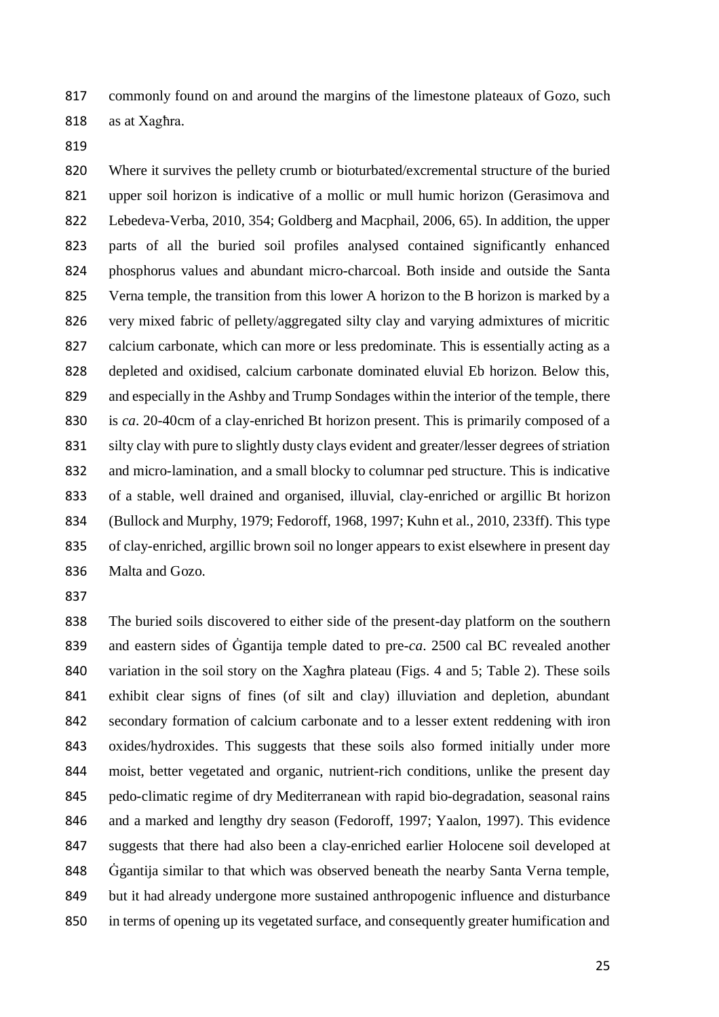commonly found on and around the margins of the limestone plateaux of Gozo, such as at Xagħra.

 Where it survives the pellety crumb or bioturbated/excremental structure of the buried upper soil horizon is indicative of a mollic or mull humic horizon (Gerasimova and Lebedeva-Verba, 2010, 354; Goldberg and Macphail, 2006, 65). In addition, the upper parts of all the buried soil profiles analysed contained significantly enhanced phosphorus values and abundant micro-charcoal. Both inside and outside the Santa Verna temple, the transition from this lower A horizon to the B horizon is marked by a very mixed fabric of pellety/aggregated silty clay and varying admixtures of micritic calcium carbonate, which can more or less predominate. This is essentially acting as a depleted and oxidised, calcium carbonate dominated eluvial Eb horizon. Below this, and especially in the Ashby and Trump Sondages within the interior of the temple, there is *ca*. 20-40cm of a clay-enriched Bt horizon present. This is primarily composed of a 831 silty clay with pure to slightly dusty clays evident and greater/lesser degrees of striation and micro-lamination, and a small blocky to columnar ped structure. This is indicative of a stable, well drained and organised, illuvial, clay-enriched or argillic Bt horizon (Bullock and Murphy, 1979; Fedoroff, 1968, 1997; Kuhn et al., 2010, 233ff). This type of clay-enriched, argillic brown soil no longer appears to exist elsewhere in present day Malta and Gozo.

 The buried soils discovered to either side of the present-day platform on the southern and eastern sides of Ġgantija temple dated to pre-*ca*. 2500 cal BC revealed another 840 variation in the soil story on the Xaghra plateau (Figs. 4 and 5; Table 2). These soils exhibit clear signs of fines (of silt and clay) illuviation and depletion, abundant secondary formation of calcium carbonate and to a lesser extent reddening with iron oxides/hydroxides. This suggests that these soils also formed initially under more moist, better vegetated and organic, nutrient-rich conditions, unlike the present day pedo-climatic regime of dry Mediterranean with rapid bio-degradation, seasonal rains and a marked and lengthy dry season (Fedoroff, 1997; Yaalon, 1997). This evidence suggests that there had also been a clay-enriched earlier Holocene soil developed at Ġgantija similar to that which was observed beneath the nearby Santa Verna temple, but it had already undergone more sustained anthropogenic influence and disturbance in terms of opening up its vegetated surface, and consequently greater humification and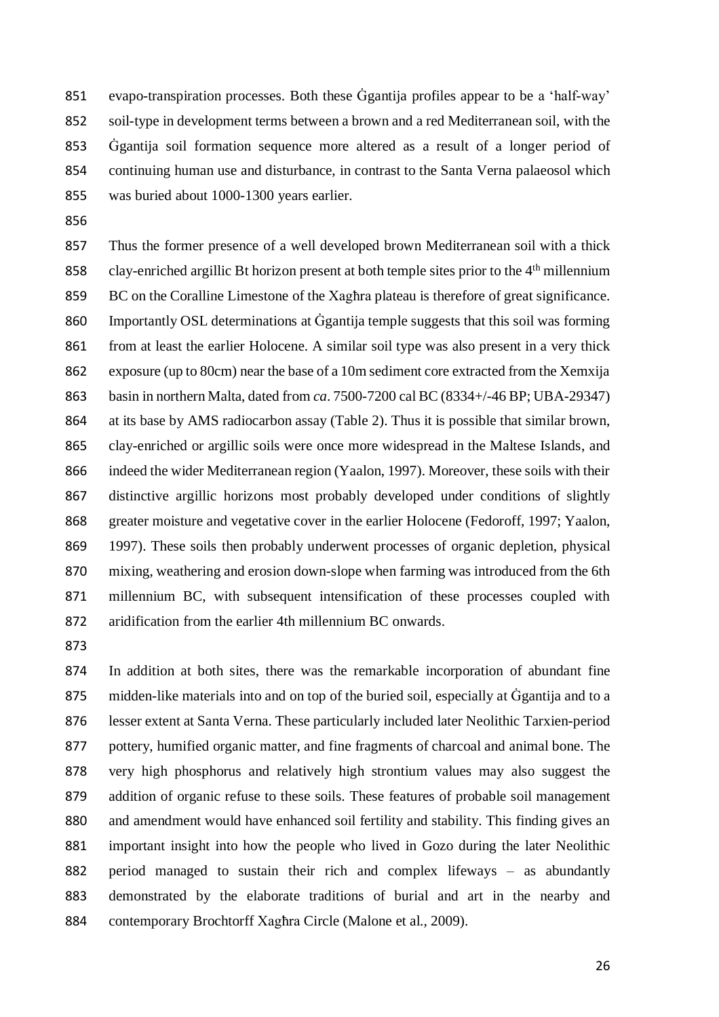evapo-transpiration processes. Both these Ġgantija profiles appear to be a 'half-way' soil-type in development terms between a brown and a red Mediterranean soil, with the Ġgantija soil formation sequence more altered as a result of a longer period of continuing human use and disturbance, in contrast to the Santa Verna palaeosol which was buried about 1000-1300 years earlier.

 Thus the former presence of a well developed brown Mediterranean soil with a thick 858 clay-enriched argillic Bt horizon present at both temple sites prior to the  $4<sup>th</sup>$  millennium 859 BC on the Coralline Limestone of the Xaghra plateau is therefore of great significance. 860 Importantly OSL determinations at Ggantija temple suggests that this soil was forming 861 from at least the earlier Holocene. A similar soil type was also present in a very thick exposure (up to 80cm) near the base of a 10m sediment core extracted from the Xemxija basin in northern Malta, dated from *ca*. 7500-7200 cal BC (8334+/-46 BP; UBA-29347) at its base by AMS radiocarbon assay (Table 2). Thus it is possible that similar brown, clay-enriched or argillic soils were once more widespread in the Maltese Islands, and indeed the wider Mediterranean region (Yaalon, 1997). Moreover, these soils with their distinctive argillic horizons most probably developed under conditions of slightly greater moisture and vegetative cover in the earlier Holocene (Fedoroff, 1997; Yaalon, 1997). These soils then probably underwent processes of organic depletion, physical mixing, weathering and erosion down-slope when farming was introduced from the 6th millennium BC, with subsequent intensification of these processes coupled with aridification from the earlier 4th millennium BC onwards.

 In addition at both sites, there was the remarkable incorporation of abundant fine 875 midden-like materials into and on top of the buried soil, especially at Ggantija and to a lesser extent at Santa Verna. These particularly included later Neolithic Tarxien-period pottery, humified organic matter, and fine fragments of charcoal and animal bone. The very high phosphorus and relatively high strontium values may also suggest the addition of organic refuse to these soils. These features of probable soil management and amendment would have enhanced soil fertility and stability. This finding gives an important insight into how the people who lived in Gozo during the later Neolithic period managed to sustain their rich and complex lifeways – as abundantly demonstrated by the elaborate traditions of burial and art in the nearby and 884 contemporary Brochtorff Xaghra Circle (Malone et al., 2009).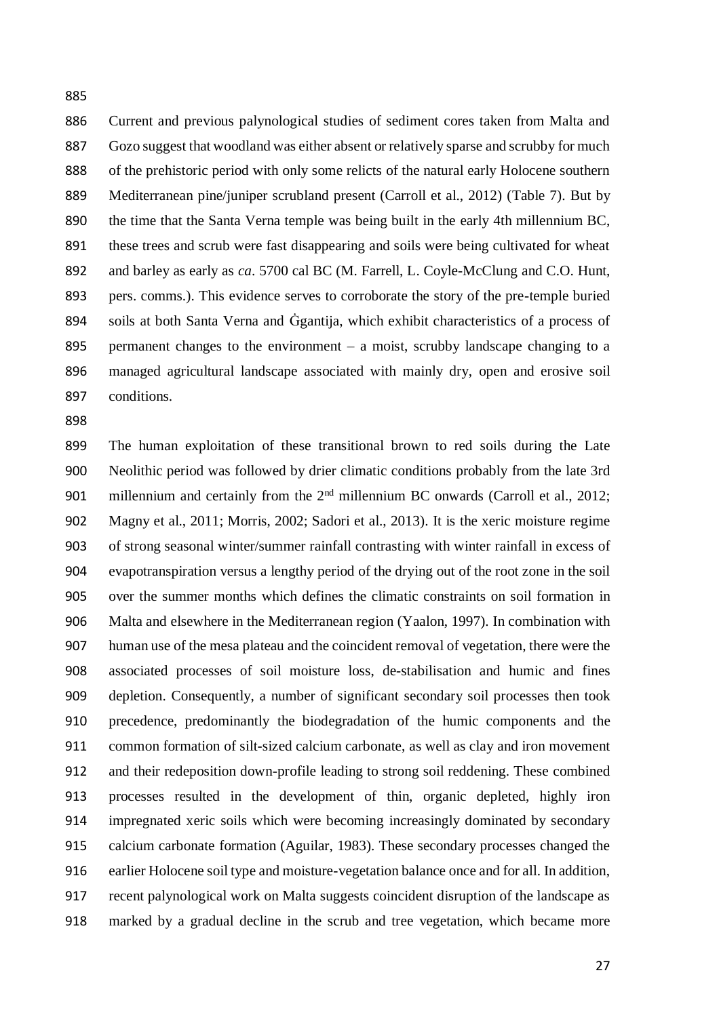Current and previous palynological studies of sediment cores taken from Malta and Gozo suggest that woodland was either absent or relatively sparse and scrubby for much of the prehistoric period with only some relicts of the natural early Holocene southern Mediterranean pine/juniper scrubland present (Carroll et al., 2012) (Table 7). But by the time that the Santa Verna temple was being built in the early 4th millennium BC, these trees and scrub were fast disappearing and soils were being cultivated for wheat and barley as early as *ca*. 5700 cal BC (M. Farrell, L. Coyle-McClung and C.O. Hunt, pers. comms.). This evidence serves to corroborate the story of the pre-temple buried soils at both Santa Verna and Ġgantija, which exhibit characteristics of a process of permanent changes to the environment – a moist, scrubby landscape changing to a managed agricultural landscape associated with mainly dry, open and erosive soil conditions.

 The human exploitation of these transitional brown to red soils during the Late Neolithic period was followed by drier climatic conditions probably from the late 3rd 901 millennium and certainly from the  $2<sup>nd</sup>$  millennium BC onwards (Carroll et al., 2012; Magny et al., 2011; Morris, 2002; Sadori et al., 2013). It is the xeric moisture regime of strong seasonal winter/summer rainfall contrasting with winter rainfall in excess of evapotranspiration versus a lengthy period of the drying out of the root zone in the soil over the summer months which defines the climatic constraints on soil formation in Malta and elsewhere in the Mediterranean region (Yaalon, 1997). In combination with human use of the mesa plateau and the coincident removal of vegetation, there were the associated processes of soil moisture loss, de-stabilisation and humic and fines depletion. Consequently, a number of significant secondary soil processes then took precedence, predominantly the biodegradation of the humic components and the common formation of silt-sized calcium carbonate, as well as clay and iron movement and their redeposition down-profile leading to strong soil reddening. These combined processes resulted in the development of thin, organic depleted, highly iron impregnated xeric soils which were becoming increasingly dominated by secondary calcium carbonate formation (Aguilar, 1983). These secondary processes changed the earlier Holocene soil type and moisture-vegetation balance once and for all. In addition, recent palynological work on Malta suggests coincident disruption of the landscape as marked by a gradual decline in the scrub and tree vegetation, which became more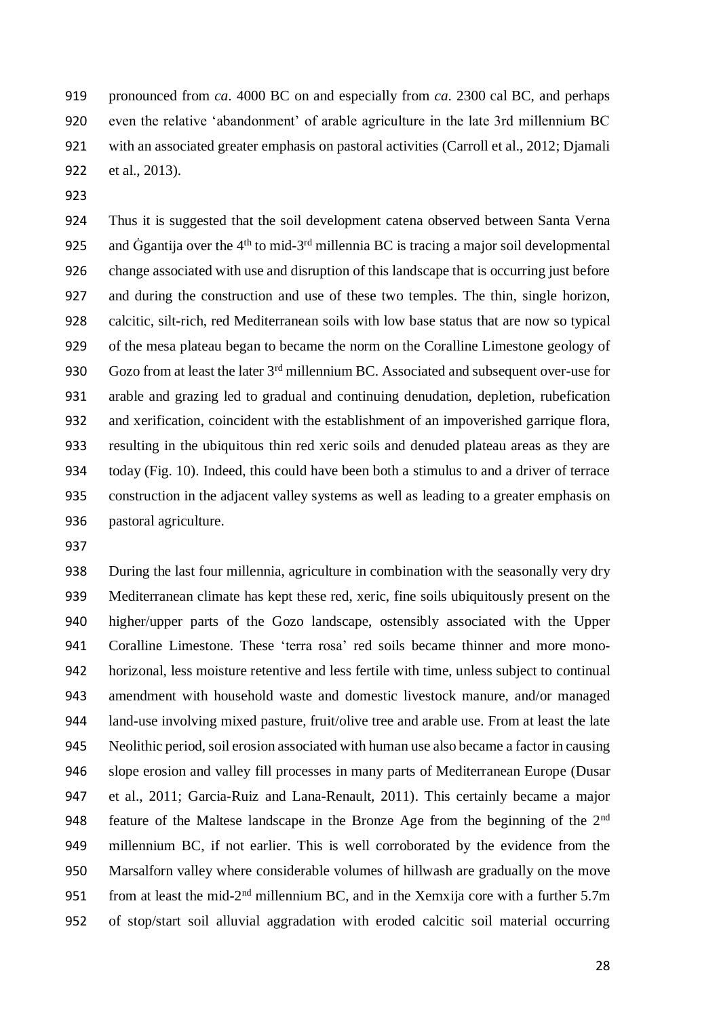pronounced from *ca*. 4000 BC on and especially from *ca*. 2300 cal BC, and perhaps even the relative 'abandonment' of arable agriculture in the late 3rd millennium BC with an associated greater emphasis on pastoral activities (Carroll et al., 2012; Djamali et al., 2013).

 Thus it is suggested that the soil development catena observed between Santa Verna 925 and Ggantija over the 4<sup>th</sup> to mid-3<sup>rd</sup> millennia BC is tracing a major soil developmental change associated with use and disruption of this landscape that is occurring just before and during the construction and use of these two temples. The thin, single horizon, calcitic, silt-rich, red Mediterranean soils with low base status that are now so typical of the mesa plateau began to became the norm on the Coralline Limestone geology of 930 Gozo from at least the later  $3<sup>rd</sup>$  millennium BC. Associated and subsequent over-use for arable and grazing led to gradual and continuing denudation, depletion, rubefication and xerification, coincident with the establishment of an impoverished garrique flora, resulting in the ubiquitous thin red xeric soils and denuded plateau areas as they are today (Fig. 10). Indeed, this could have been both a stimulus to and a driver of terrace construction in the adjacent valley systems as well as leading to a greater emphasis on pastoral agriculture.

 During the last four millennia, agriculture in combination with the seasonally very dry Mediterranean climate has kept these red, xeric, fine soils ubiquitously present on the higher/upper parts of the Gozo landscape, ostensibly associated with the Upper Coralline Limestone. These 'terra rosa' red soils became thinner and more mono- horizonal, less moisture retentive and less fertile with time, unless subject to continual amendment with household waste and domestic livestock manure, and/or managed land-use involving mixed pasture, fruit/olive tree and arable use. From at least the late Neolithic period, soil erosion associated with human use also became a factor in causing slope erosion and valley fill processes in many parts of Mediterranean Europe (Dusar et al., 2011; Garcia-Ruiz and Lana-Renault, 2011). This certainly became a major 948 feature of the Maltese landscape in the Bronze Age from the beginning of the  $2<sup>nd</sup>$  millennium BC, if not earlier. This is well corroborated by the evidence from the Marsalforn valley where considerable volumes of hillwash are gradually on the move 951 from at least the mid-2<sup>nd</sup> millennium BC, and in the Xemxija core with a further 5.7m of stop/start soil alluvial aggradation with eroded calcitic soil material occurring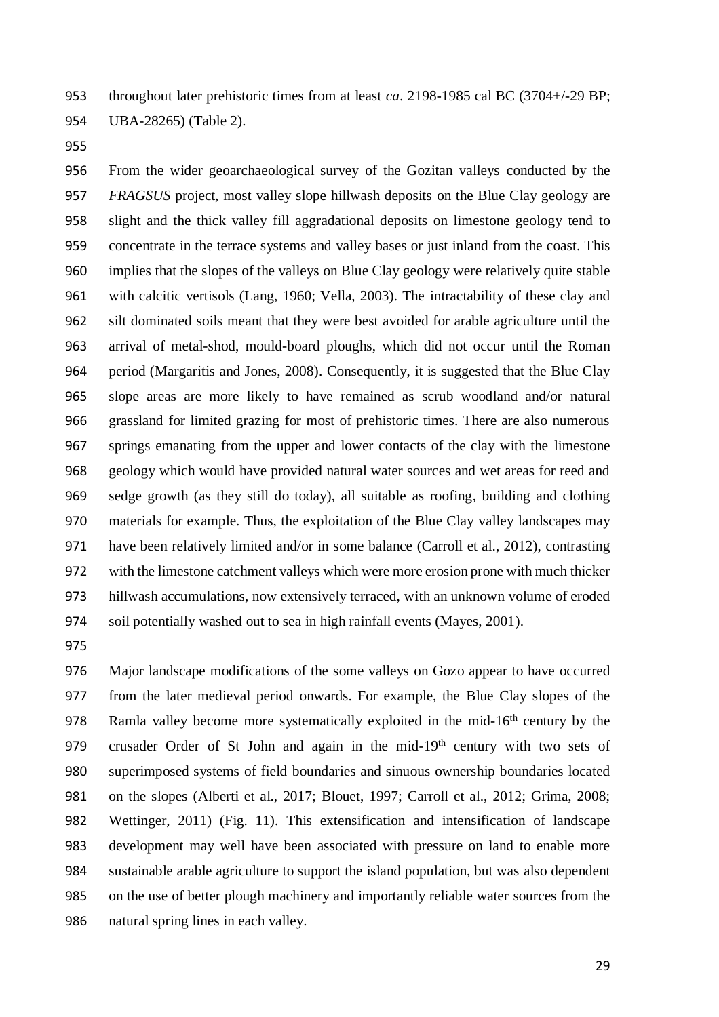throughout later prehistoric times from at least *ca*. 2198-1985 cal BC (3704+/-29 BP; UBA-28265) (Table 2).

 From the wider geoarchaeological survey of the Gozitan valleys conducted by the *FRAGSUS* project, most valley slope hillwash deposits on the Blue Clay geology are slight and the thick valley fill aggradational deposits on limestone geology tend to concentrate in the terrace systems and valley bases or just inland from the coast. This implies that the slopes of the valleys on Blue Clay geology were relatively quite stable with calcitic vertisols (Lang, 1960; Vella, 2003). The intractability of these clay and silt dominated soils meant that they were best avoided for arable agriculture until the arrival of metal-shod, mould-board ploughs, which did not occur until the Roman period (Margaritis and Jones, 2008). Consequently, it is suggested that the Blue Clay slope areas are more likely to have remained as scrub woodland and/or natural grassland for limited grazing for most of prehistoric times. There are also numerous springs emanating from the upper and lower contacts of the clay with the limestone geology which would have provided natural water sources and wet areas for reed and sedge growth (as they still do today), all suitable as roofing, building and clothing materials for example. Thus, the exploitation of the Blue Clay valley landscapes may have been relatively limited and/or in some balance (Carroll et al., 2012), contrasting with the limestone catchment valleys which were more erosion prone with much thicker hillwash accumulations, now extensively terraced, with an unknown volume of eroded soil potentially washed out to sea in high rainfall events (Mayes, 2001).

 Major landscape modifications of the some valleys on Gozo appear to have occurred from the later medieval period onwards. For example, the Blue Clay slopes of the 978 Ramla valley become more systematically exploited in the mid-16<sup>th</sup> century by the 979 crusader Order of St John and again in the mid-19<sup>th</sup> century with two sets of superimposed systems of field boundaries and sinuous ownership boundaries located on the slopes (Alberti et al., 2017; Blouet, 1997; Carroll et al., 2012; Grima, 2008; Wettinger, 2011) (Fig. 11). This extensification and intensification of landscape development may well have been associated with pressure on land to enable more sustainable arable agriculture to support the island population, but was also dependent on the use of better plough machinery and importantly reliable water sources from the natural spring lines in each valley.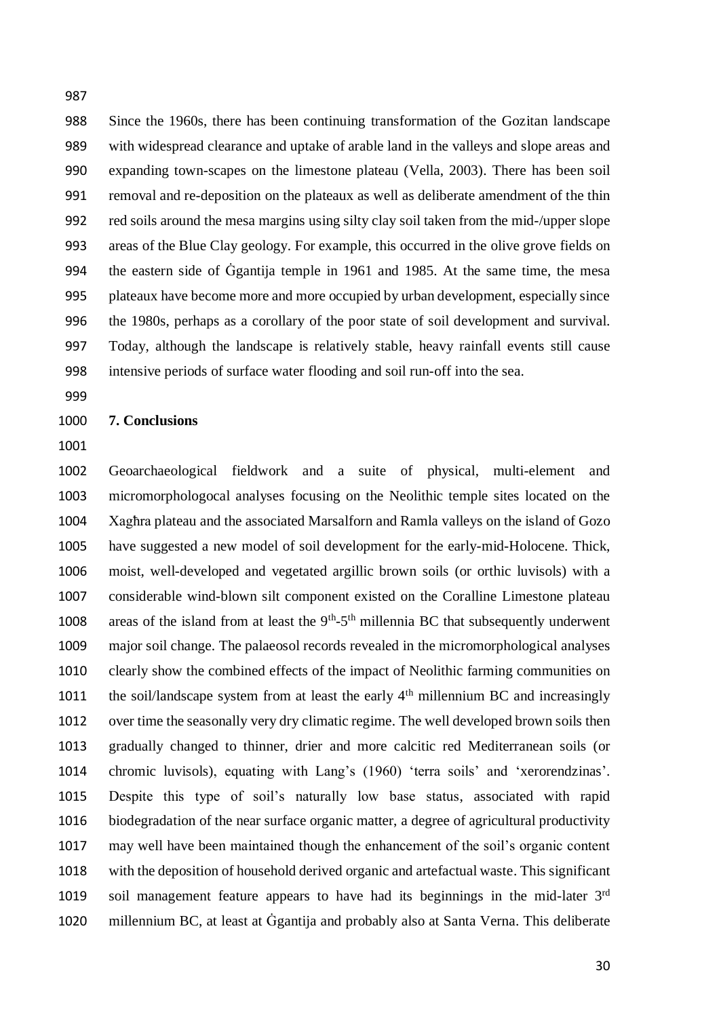Since the 1960s, there has been continuing transformation of the Gozitan landscape with widespread clearance and uptake of arable land in the valleys and slope areas and expanding town-scapes on the limestone plateau (Vella, 2003). There has been soil removal and re-deposition on the plateaux as well as deliberate amendment of the thin red soils around the mesa margins using silty clay soil taken from the mid-/upper slope areas of the Blue Clay geology. For example, this occurred in the olive grove fields on the eastern side of Ġgantija temple in 1961 and 1985. At the same time, the mesa plateaux have become more and more occupied by urban development, especially since the 1980s, perhaps as a corollary of the poor state of soil development and survival. Today, although the landscape is relatively stable, heavy rainfall events still cause intensive periods of surface water flooding and soil run-off into the sea.

## **7. Conclusions**

 Geoarchaeological fieldwork and a suite of physical, multi-element and micromorphologocal analyses focusing on the Neolithic temple sites located on the Xagħra plateau and the associated Marsalforn and Ramla valleys on the island of Gozo have suggested a new model of soil development for the early-mid-Holocene. Thick, moist, well-developed and vegetated argillic brown soils (or orthic luvisols) with a considerable wind-blown silt component existed on the Coralline Limestone plateau 1008 areas of the island from at least the  $9<sup>th</sup>-5<sup>th</sup>$  millennia BC that subsequently underwent major soil change. The palaeosol records revealed in the micromorphological analyses clearly show the combined effects of the impact of Neolithic farming communities on 1011 the soil/landscape system from at least the early  $4<sup>th</sup>$  millennium BC and increasingly over time the seasonally very dry climatic regime. The well developed brown soils then gradually changed to thinner, drier and more calcitic red Mediterranean soils (or chromic luvisols), equating with Lang's (1960) 'terra soils' and 'xerorendzinas'. Despite this type of soil's naturally low base status, associated with rapid biodegradation of the near surface organic matter, a degree of agricultural productivity may well have been maintained though the enhancement of the soil's organic content with the deposition of household derived organic and artefactual waste. This significant soil management feature appears to have had its beginnings in the mid-later 3rd millennium BC, at least at Ġgantija and probably also at Santa Verna. This deliberate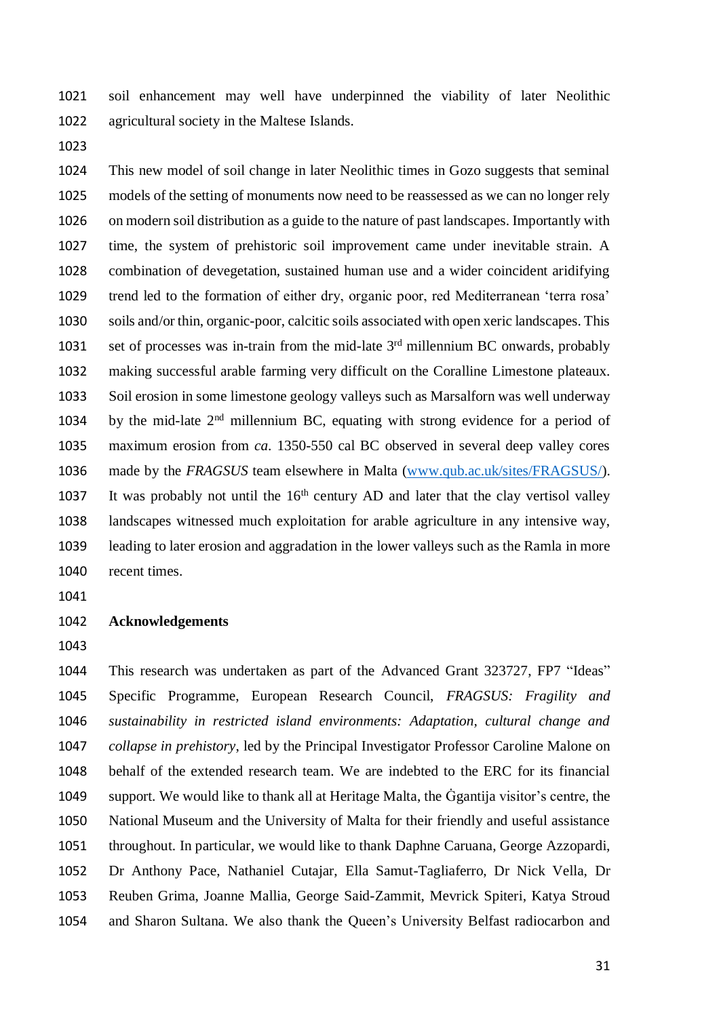soil enhancement may well have underpinned the viability of later Neolithic agricultural society in the Maltese Islands.

 This new model of soil change in later Neolithic times in Gozo suggests that seminal models of the setting of monuments now need to be reassessed as we can no longer rely on modern soil distribution as a guide to the nature of past landscapes. Importantly with time, the system of prehistoric soil improvement came under inevitable strain. A combination of devegetation, sustained human use and a wider coincident aridifying trend led to the formation of either dry, organic poor, red Mediterranean 'terra rosa' soils and/or thin, organic-poor, calcitic soils associated with open xeric landscapes. This 1031 set of processes was in-train from the mid-late  $3<sup>rd</sup>$  millennium BC onwards, probably making successful arable farming very difficult on the Coralline Limestone plateaux. Soil erosion in some limestone geology valleys such as Marsalforn was well underway 1034 by the mid-late  $2<sup>nd</sup>$  millennium BC, equating with strong evidence for a period of maximum erosion from *ca*. 1350-550 cal BC observed in several deep valley cores made by the *FRAGSUS* team elsewhere in Malta [\(www.qub.ac.uk/sites/FRAGSUS/\)](http://www.qub.ac.uk/sites/FRAGSUS/). 1037 It was probably not until the  $16<sup>th</sup>$  century AD and later that the clay vertisol valley landscapes witnessed much exploitation for arable agriculture in any intensive way, leading to later erosion and aggradation in the lower valleys such as the Ramla in more recent times.

### **Acknowledgements**

 This research was undertaken as part of the Advanced Grant 323727, FP7 "Ideas" Specific Programme, European Research Council, *FRAGSUS: Fragility and sustainability in restricted island environments: Adaptation, cultural change and collapse in prehistory*, led by the Principal Investigator Professor Caroline Malone on behalf of the extended research team. We are indebted to the ERC for its financial support. We would like to thank all at Heritage Malta, the Ġgantija visitor's centre, the National Museum and the University of Malta for their friendly and useful assistance throughout. In particular, we would like to thank Daphne Caruana, George Azzopardi, Dr Anthony Pace, Nathaniel Cutajar, Ella Samut-Tagliaferro, Dr Nick Vella, Dr Reuben Grima, Joanne Mallia, George Said-Zammit, Mevrick Spiteri, Katya Stroud and Sharon Sultana. We also thank the Queen's University Belfast radiocarbon and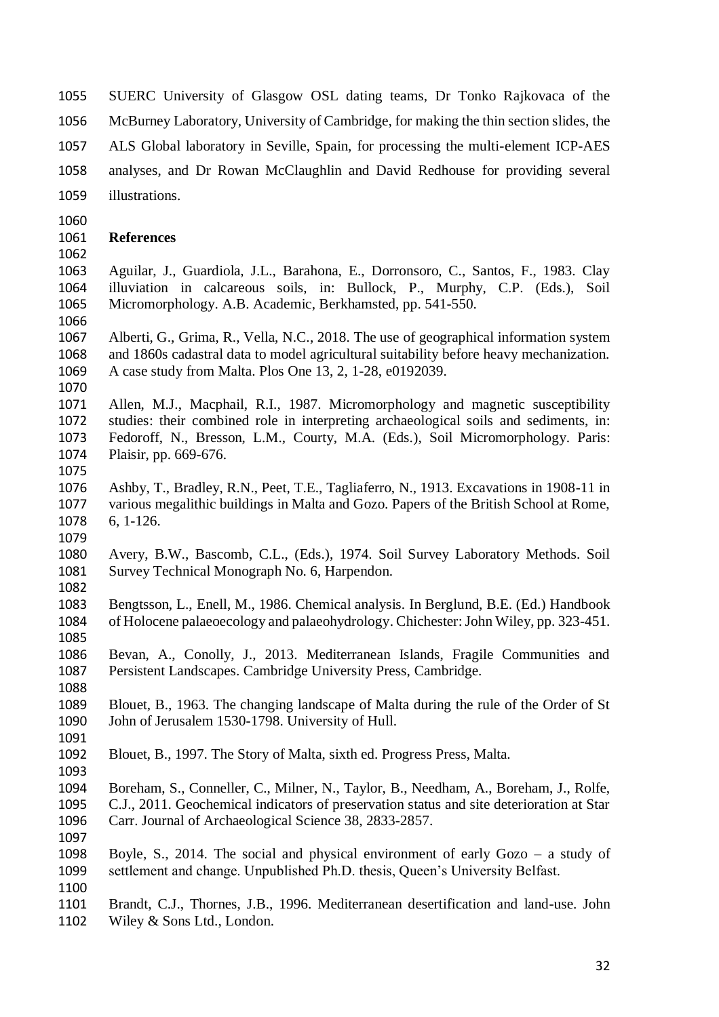SUERC University of Glasgow OSL dating teams, Dr Tonko Rajkovaca of the McBurney Laboratory, University of Cambridge, for making the thin section slides, the ALS Global laboratory in Seville, Spain, for processing the multi-element ICP-AES analyses, and Dr Rowan McClaughlin and David Redhouse for providing several illustrations. 

- **References**
- 
- Aguilar, J., Guardiola, J.L., Barahona, E., Dorronsoro, C., Santos, F., 1983. Clay illuviation in calcareous soils, in: Bullock, P., Murphy, C.P. (Eds.), Soil Micromorphology. A.B. Academic, Berkhamsted, pp. 541-550.
- Alberti, G., Grima, R., Vella, N.C., 2018. The use of geographical information system and 1860s cadastral data to model agricultural suitability before heavy mechanization. A case study from Malta. Plos One 13, 2, 1-28, e0192039.
- 
- Allen, M.J., Macphail, R.I., 1987. Micromorphology and magnetic susceptibility studies: their combined role in interpreting archaeological soils and sediments, in: Fedoroff, N., Bresson, L.M., Courty, M.A. (Eds.), Soil Micromorphology. Paris: Plaisir, pp. 669-676.
- 

- Ashby, T., Bradley, R.N., Peet, T.E., Tagliaferro, N., 1913. Excavations in 1908-11 in various megalithic buildings in Malta and Gozo. Papers of the British School at Rome, 6, 1-126.
- Avery, B.W., Bascomb, C.L., (Eds.), 1974. Soil Survey Laboratory Methods. Soil Survey Technical Monograph No. 6, Harpendon.
- Bengtsson, L., Enell, M., 1986. Chemical analysis. In Berglund, B.E. (Ed.) Handbook of Holocene palaeoecology and palaeohydrology. Chichester:John Wiley, pp. 323-451.
- Bevan, A., Conolly, J., 2013. Mediterranean Islands, Fragile Communities and Persistent Landscapes. Cambridge University Press, Cambridge.
- Blouet, B., 1963. The changing landscape of Malta during the rule of the Order of St John of Jerusalem 1530-1798. University of Hull.
- Blouet, B., 1997. The Story of Malta, sixth ed. Progress Press, Malta.
- Boreham, S., Conneller, C., Milner, N., Taylor, B., Needham, A., Boreham, J., Rolfe, C.J., 2011. Geochemical indicators of preservation status and site deterioration at Star Carr. Journal of Archaeological Science 38, 2833-2857.
- Boyle, S., 2014. The social and physical environment of early Gozo a study of settlement and change. Unpublished Ph.D. thesis, Queen's University Belfast.
- Brandt, C.J., Thornes, J.B., 1996. Mediterranean desertification and land-use. John Wiley & Sons Ltd., London.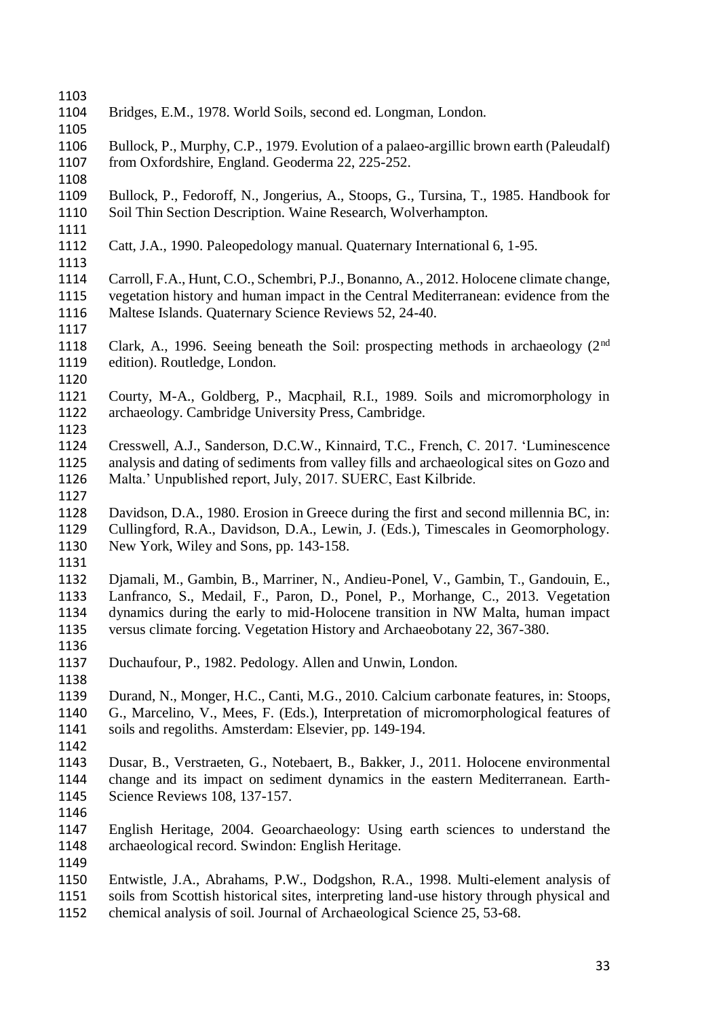| 1103 |                                                                                          |
|------|------------------------------------------------------------------------------------------|
| 1104 | Bridges, E.M., 1978. World Soils, second ed. Longman, London.                            |
| 1105 |                                                                                          |
| 1106 | Bullock, P., Murphy, C.P., 1979. Evolution of a palaeo-argillic brown earth (Paleudalf)  |
| 1107 | from Oxfordshire, England. Geoderma 22, 225-252.                                         |
| 1108 |                                                                                          |
| 1109 | Bullock, P., Fedoroff, N., Jongerius, A., Stoops, G., Tursina, T., 1985. Handbook for    |
| 1110 | Soil Thin Section Description. Waine Research, Wolverhampton.                            |
| 1111 |                                                                                          |
| 1112 | Catt, J.A., 1990. Paleopedology manual. Quaternary International 6, 1-95.                |
| 1113 |                                                                                          |
| 1114 | Carroll, F.A., Hunt, C.O., Schembri, P.J., Bonanno, A., 2012. Holocene climate change,   |
| 1115 | vegetation history and human impact in the Central Mediterranean: evidence from the      |
| 1116 | Maltese Islands. Quaternary Science Reviews 52, 24-40.                                   |
| 1117 |                                                                                          |
| 1118 | Clark, A., 1996. Seeing beneath the Soil: prospecting methods in archaeology $(2nd$      |
|      |                                                                                          |
| 1119 | edition). Routledge, London.                                                             |
| 1120 |                                                                                          |
| 1121 | Courty, M-A., Goldberg, P., Macphail, R.I., 1989. Soils and micromorphology in           |
| 1122 | archaeology. Cambridge University Press, Cambridge.                                      |
| 1123 |                                                                                          |
| 1124 | Cresswell, A.J., Sanderson, D.C.W., Kinnaird, T.C., French, C. 2017. 'Luminescence       |
| 1125 | analysis and dating of sediments from valley fills and archaeological sites on Gozo and  |
| 1126 | Malta.' Unpublished report, July, 2017. SUERC, East Kilbride.                            |
| 1127 |                                                                                          |
| 1128 | Davidson, D.A., 1980. Erosion in Greece during the first and second millennia BC, in:    |
| 1129 | Cullingford, R.A., Davidson, D.A., Lewin, J. (Eds.), Timescales in Geomorphology.        |
| 1130 | New York, Wiley and Sons, pp. 143-158.                                                   |
| 1131 |                                                                                          |
| 1132 | Djamali, M., Gambin, B., Marriner, N., Andieu-Ponel, V., Gambin, T., Gandouin, E.,       |
| 1133 | Lanfranco, S., Medail, F., Paron, D., Ponel, P., Morhange, C., 2013. Vegetation          |
| 1134 | dynamics during the early to mid-Holocene transition in NW Malta, human impact           |
| 1135 | versus climate forcing. Vegetation History and Archaeobotany 22, 367-380.                |
| 1136 |                                                                                          |
| 1137 | Duchaufour, P., 1982. Pedology. Allen and Unwin, London.                                 |
| 1138 |                                                                                          |
| 1139 | Durand, N., Monger, H.C., Canti, M.G., 2010. Calcium carbonate features, in: Stoops,     |
| 1140 | G., Marcelino, V., Mees, F. (Eds.), Interpretation of micromorphological features of     |
| 1141 | soils and regoliths. Amsterdam: Elsevier, pp. 149-194.                                   |
| 1142 |                                                                                          |
| 1143 | Dusar, B., Verstraeten, G., Notebaert, B., Bakker, J., 2011. Holocene environmental      |
| 1144 | change and its impact on sediment dynamics in the eastern Mediterranean. Earth-          |
| 1145 | Science Reviews 108, 137-157.                                                            |
| 1146 |                                                                                          |
| 1147 | English Heritage, 2004. Geoarchaeology: Using earth sciences to understand the           |
| 1148 | archaeological record. Swindon: English Heritage.                                        |
| 1149 |                                                                                          |
| 1150 | Entwistle, J.A., Abrahams, P.W., Dodgshon, R.A., 1998. Multi-element analysis of         |
| 1151 | soils from Scottish historical sites, interpreting land-use history through physical and |
| 1152 | chemical analysis of soil. Journal of Archaeological Science 25, 53-68.                  |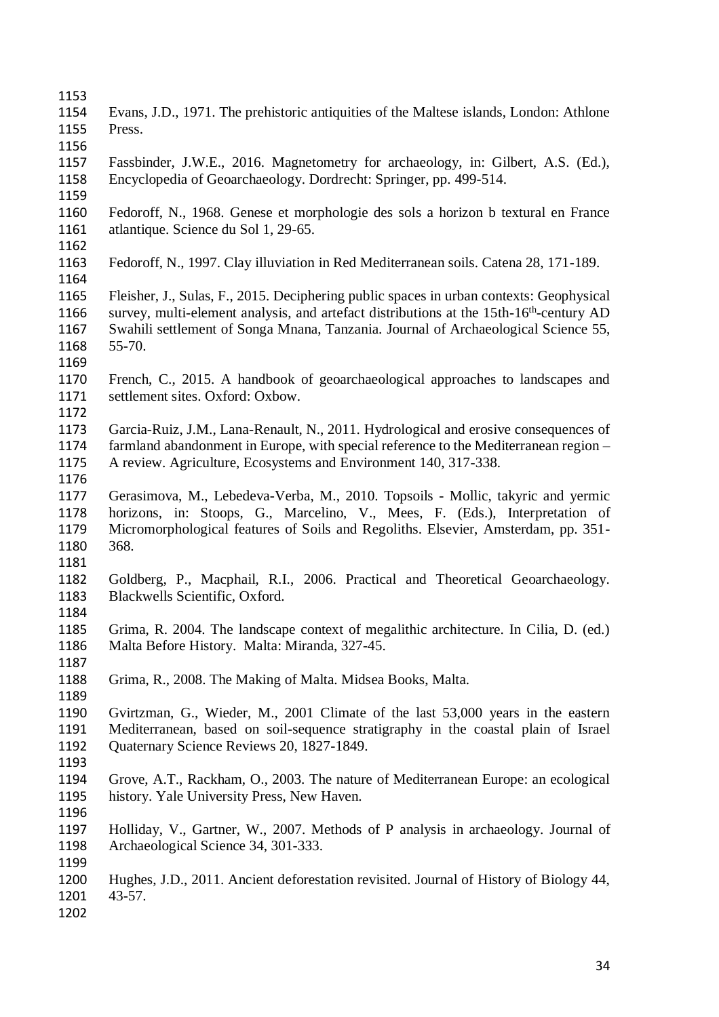Press.

 Fassbinder, J.W.E., 2016. Magnetometry for archaeology, in: Gilbert, A.S. (Ed.), Encyclopedia of Geoarchaeology. Dordrecht: Springer, pp. 499-514. Fedoroff, N., 1968. Genese et morphologie des sols a horizon b textural en France atlantique. Science du Sol 1, 29-65. Fedoroff, N., 1997. Clay illuviation in Red Mediterranean soils. Catena 28, 171-189. Fleisher, J., Sulas, F., 2015. Deciphering public spaces in urban contexts: Geophysical 1166 survey, multi-element analysis, and artefact distributions at the  $15th-16<sup>th</sup>$ -century AD Swahili settlement of Songa Mnana, Tanzania. Journal of Archaeological Science 55, 55-70. French, C., 2015. A handbook of geoarchaeological approaches to landscapes and settlement sites. Oxford: Oxbow. Garcia-Ruiz, J.M., Lana-Renault, N., 2011. Hydrological and erosive consequences of farmland abandonment in Europe, with special reference to the Mediterranean region – A review. Agriculture, Ecosystems and Environment 140, 317-338. Gerasimova, M., Lebedeva-Verba, M., 2010. Topsoils - Mollic, takyric and yermic horizons, in: Stoops, G., Marcelino, V., Mees, F. (Eds.), Interpretation of Micromorphological features of Soils and Regoliths. Elsevier, Amsterdam, pp. 351- 368. Goldberg, P., Macphail, R.I., 2006. Practical and Theoretical Geoarchaeology. Blackwells Scientific, Oxford. Grima, R. 2004. The landscape context of megalithic architecture. In Cilia, D. (ed.) Malta Before History. Malta: Miranda, 327-45. Grima, R., 2008. The Making of Malta. Midsea Books, Malta. Gvirtzman, G., Wieder, M., 2001 Climate of the last 53,000 years in the eastern Mediterranean, based on soil-sequence stratigraphy in the coastal plain of Israel Quaternary Science Reviews 20, 1827-1849. Grove, A.T., Rackham, O., 2003. The nature of Mediterranean Europe: an ecological history. Yale University Press, New Haven. Holliday, V., Gartner, W., 2007. Methods of P analysis in archaeology. Journal of Archaeological Science 34, 301-333. 1199<br>1200 Hughes, J.D., 2011. Ancient deforestation revisited. Journal of History of Biology 44, 43-57. 

Evans, J.D., 1971. The prehistoric antiquities of the Maltese islands, London: Athlone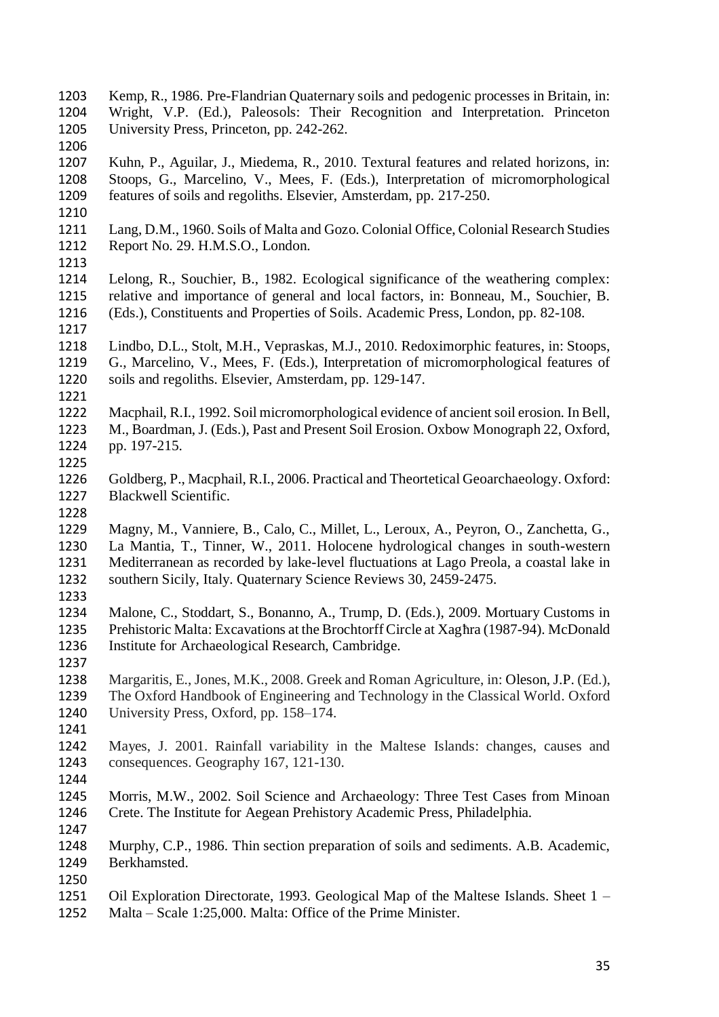- Kemp, R., 1986. Pre-Flandrian Quaternary soils and pedogenic processes in Britain, in: Wright, V.P. (Ed.), Paleosols: Their Recognition and Interpretation. Princeton University Press, Princeton, pp. 242-262.
- 

 Kuhn, P., Aguilar, J., Miedema, R., 2010. Textural features and related horizons, in: Stoops, G., Marcelino, V., Mees, F. (Eds.), Interpretation of micromorphological features of soils and regoliths. Elsevier, Amsterdam, pp. 217-250.

 Lang, D.M., 1960. Soils of Malta and Gozo. Colonial Office, Colonial Research Studies Report No. 29. H.M.S.O., London.

 Lelong, R., Souchier, B., 1982. Ecological significance of the weathering complex: relative and importance of general and local factors, in: Bonneau, M., Souchier, B. (Eds.), Constituents and Properties of Soils. Academic Press, London, pp. 82-108. 

 Lindbo, D.L., Stolt, M.H., Vepraskas, M.J., 2010. Redoximorphic features, in: Stoops, G., Marcelino, V., Mees, F. (Eds.), Interpretation of micromorphological features of soils and regoliths. Elsevier, Amsterdam, pp. 129-147.

 Macphail, R.I., 1992. Soil micromorphological evidence of ancient soil erosion. In Bell, M., Boardman, J. (Eds.), Past and Present Soil Erosion. Oxbow Monograph 22, Oxford, pp. 197-215.

- Goldberg, P., Macphail, R.I., 2006. Practical and Theortetical Geoarchaeology. Oxford: Blackwell Scientific.
- 

 Magny, M., Vanniere, B., Calo, C., Millet, L., Leroux, A., Peyron, O., Zanchetta, G., La Mantia, T., Tinner, W., 2011. Holocene hydrological changes in south-western Mediterranean as recorded by lake-level fluctuations at Lago Preola, a coastal lake in southern Sicily, Italy. Quaternary Science Reviews 30, 2459-2475.

- 
- Malone, C., Stoddart, S., Bonanno, A., Trump, D. (Eds.), 2009. Mortuary Customs in Prehistoric Malta: Excavations at the Brochtorff Circle at Xagħra (1987-94). McDonald Institute for Archaeological Research, Cambridge.
- 

 Margaritis, E., Jones, M.K., 2008. Greek and Roman Agriculture, in: [Oleson, J.P.](https://en.wikipedia.org/wiki/John_Peter_Oleson) (Ed.), The Oxford Handbook of Engineering and Technology in the Classical World. Oxford University Press, Oxford, pp. 158–174. 

- Mayes, J. 2001. Rainfall variability in the Maltese Islands: changes, causes and consequences. Geography 167, 121-130.
- Morris, M.W., 2002. Soil Science and Archaeology: Three Test Cases from Minoan Crete. The Institute for Aegean Prehistory Academic Press, Philadelphia.
- 
- Murphy, C.P., 1986. Thin section preparation of soils and sediments. A.B. Academic, Berkhamsted.
- 
- Oil Exploration Directorate, 1993. Geological Map of the Maltese Islands. Sheet 1 –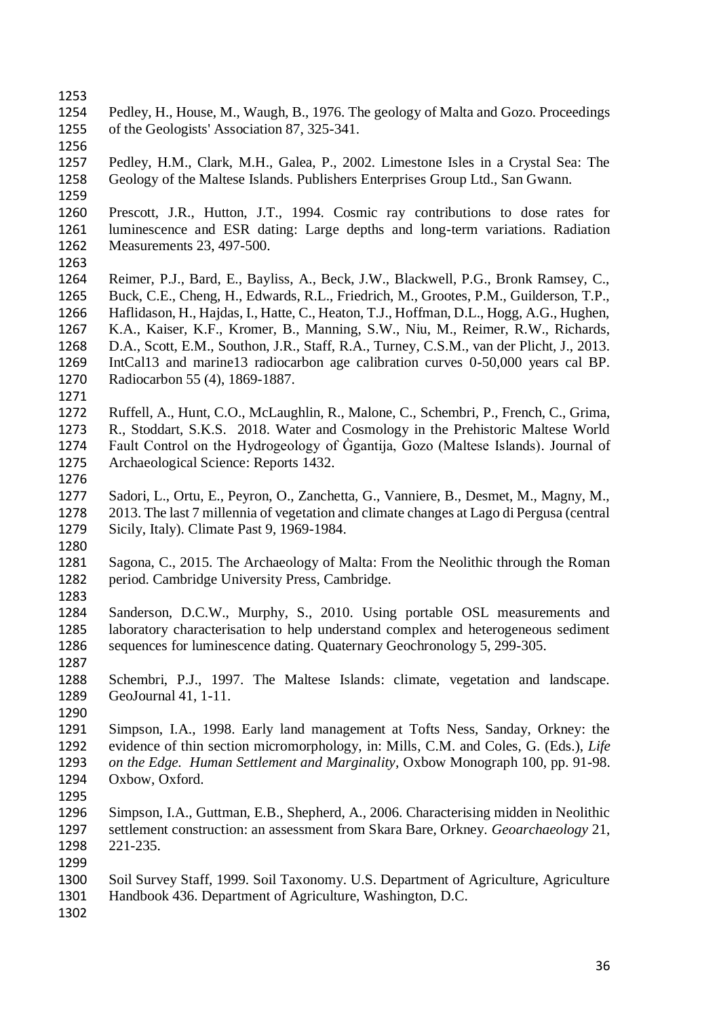Pedley, H., House, M., Waugh, B., 1976. The geology of Malta and Gozo. Proceedings of the Geologists' Association 87, 325-341.

 Pedley, H.M., Clark, M.H., Galea, P., 2002. Limestone Isles in a Crystal Sea: The Geology of the Maltese Islands. Publishers Enterprises Group Ltd., San Gwann.

 Prescott, J.R., Hutton, J.T., 1994. Cosmic ray contributions to dose rates for luminescence and ESR dating: Large depths and long-term variations. Radiation Measurements 23, 497-500. 

 Reimer, P.J., Bard, E., Bayliss, A., Beck, J.W., Blackwell, P.G., Bronk Ramsey, C., Buck, C.E., Cheng, H., Edwards, R.L., Friedrich, M., Grootes, P.M., Guilderson, T.P., Haflidason, H., Hajdas, I., Hatte, C., Heaton, T.J., Hoffman, D.L., Hogg, A.G., Hughen, K.A., Kaiser, K.F., Kromer, B., Manning, S.W., Niu, M., Reimer, R.W., Richards, D.A., Scott, E.M., Southon, J.R., Staff, R.A., Turney, C.S.M., van der Plicht, J., 2013. IntCal13 and marine13 radiocarbon age calibration curves 0-50,000 years cal BP. Radiocarbon 55 (4), 1869-1887.

 Ruffell, A., Hunt, C.O., McLaughlin, R., Malone, C., Schembri, P., French, C., Grima, R., Stoddart, S.K.S. 2018. Water and Cosmology in the Prehistoric Maltese World Fault Control on the Hydrogeology of Ġgantija, Gozo (Maltese Islands). Journal of Archaeological Science: Reports 1432.

 Sadori, L., Ortu, E., Peyron, O., Zanchetta, G., Vanniere, B., Desmet, M., Magny, M., 2013. The last 7 millennia of vegetation and climate changes at Lago di Pergusa (central Sicily, Italy). Climate Past 9, 1969-1984.

 Sagona, C., 2015. The Archaeology of Malta: From the Neolithic through the Roman period. Cambridge University Press, Cambridge.

 Sanderson, D.C.W., Murphy, S., 2010. Using portable OSL measurements and laboratory characterisation to help understand complex and heterogeneous sediment sequences for luminescence dating. Quaternary Geochronology 5, 299-305.

 Schembri, P.J., 1997. The Maltese Islands: climate, vegetation and landscape. GeoJournal 41, 1-11.

 Simpson, I.A., 1998. Early land management at Tofts Ness, Sanday, Orkney: the evidence of thin section micromorphology, in: Mills, C.M. and Coles, G. (Eds.), *Life on the Edge. Human Settlement and Marginality,* Oxbow Monograph 100, pp. 91-98. Oxbow, Oxford.

 Simpson, I.A., Guttman, E.B., Shepherd, A., 2006. Characterising midden in Neolithic settlement construction: an assessment from Skara Bare, Orkney. *Geoarchaeology* 21, 221-235. 

 Soil Survey Staff, 1999. Soil Taxonomy. U.S. Department of Agriculture, Agriculture Handbook 436. Department of Agriculture, Washington, D.C.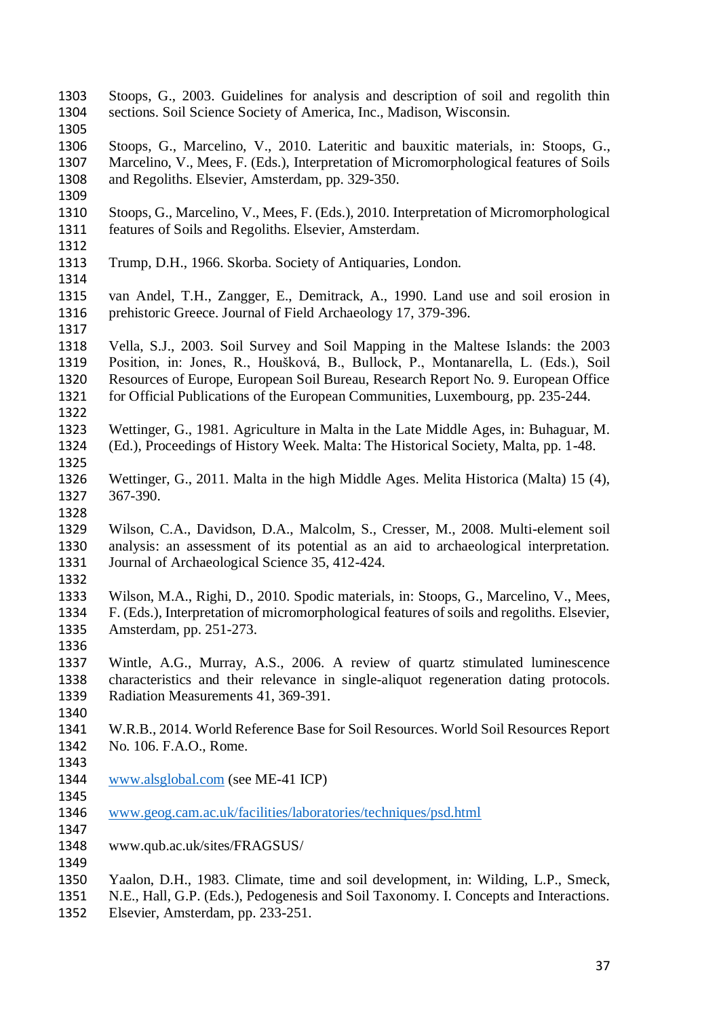- Stoops, G., 2003. Guidelines for analysis and description of soil and regolith thin sections. Soil Science Society of America, Inc., Madison, Wisconsin. Stoops, G., Marcelino, V., 2010. Lateritic and bauxitic materials, in: Stoops, G., Marcelino, V., Mees, F. (Eds.), Interpretation of Micromorphological features of Soils and Regoliths. Elsevier, Amsterdam, pp. 329-350. Stoops, G., Marcelino, V., Mees, F. (Eds.), 2010. Interpretation of Micromorphological features of Soils and Regoliths. Elsevier, Amsterdam. Trump, D.H., 1966. Skorba. Society of Antiquaries, London. van Andel, T.H., Zangger, E., Demitrack, A., 1990. Land use and soil erosion in prehistoric Greece. Journal of Field Archaeology 17, 379-396. Vella, S.J., 2003. Soil Survey and Soil Mapping in the Maltese Islands: the 2003 Position, in: Jones, R., Houšková, B., Bullock, P., Montanarella, L. (Eds.), Soil Resources of Europe, European Soil Bureau, Research Report No. 9. European Office for Official Publications of the European Communities, Luxembourg, pp. 235-244. Wettinger, G., 1981. Agriculture in Malta in the Late Middle Ages, in: Buhaguar, M. (Ed.), Proceedings of History Week. Malta: The Historical Society, Malta, pp. 1-48. Wettinger, G., 2011. Malta in the high Middle Ages. Melita Historica (Malta) 15 (4), 367-390. Wilson, C.A., Davidson, D.A., Malcolm, S., Cresser, M., 2008. Multi-element soil analysis: an assessment of its potential as an aid to archaeological interpretation. Journal of Archaeological Science 35, 412-424. Wilson, M.A., Righi, D., 2010. Spodic materials, in: Stoops, G., Marcelino, V., Mees, F. (Eds.), Interpretation of micromorphological features of soils and regoliths. Elsevier, Amsterdam, pp. 251-273. Wintle, A.G., Murray, A.S., 2006. A review of quartz stimulated luminescence characteristics and their relevance in single-aliquot regeneration dating protocols. Radiation Measurements 41, 369-391. W.R.B., 2014. World Reference Base for Soil Resources. World Soil Resources Report No. 106. F.A.O., Rome. [www.alsglobal.com](http://www.alsglobal.com/) (see ME-41 ICP) [www.geog.cam.ac.uk/facilities/laboratories/techniques/psd.html](http://www.geog.cam.ac.uk/facilities/laboratories/techniques/psd.html) www.qub.ac.uk/sites/FRAGSUS/ Yaalon, D.H., 1983. Climate, time and soil development, in: Wilding, L.P., Smeck, N.E., Hall, G.P. (Eds.), Pedogenesis and Soil Taxonomy. I. Concepts and Interactions.
- Elsevier, Amsterdam, pp. 233-251.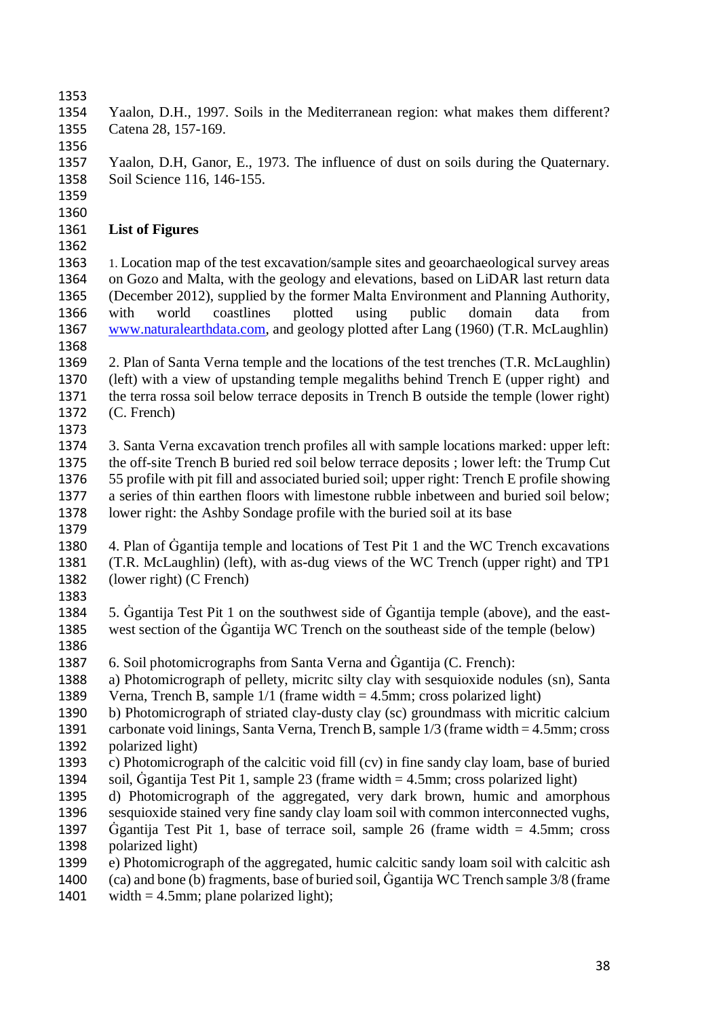Yaalon, D.H., 1997. Soils in the Mediterranean region: what makes them different? Catena 28, 157-169.

 Yaalon, D.H, Ganor, E., 1973. The influence of dust on soils during the Quaternary. Soil Science 116, 146-155.

- 
- 

# **List of Figures**

 1. Location map of the test excavation/sample sites and geoarchaeological survey areas on Gozo and Malta, with the geology and elevations, based on LiDAR last return data (December 2012), supplied by the former Malta Environment and Planning Authority, with world coastlines plotted using public domain data from [www.naturalearthdata.com,](http://www.naturalearthdata.com/) and geology plotted after Lang (1960) (T.R. McLaughlin) 

 2. Plan of Santa Verna temple and the locations of the test trenches (T.R. McLaughlin) (left) with a view of upstanding temple megaliths behind Trench E (upper right) and the terra rossa soil below terrace deposits in Trench B outside the temple (lower right) (C. French) 

 3. Santa Verna excavation trench profiles all with sample locations marked: upper left: the off-site Trench B buried red soil below terrace deposits ; lower left: the Trump Cut 55 profile with pit fill and associated buried soil; upper right: Trench E profile showing a series of thin earthen floors with limestone rubble inbetween and buried soil below; lower right: the Ashby Sondage profile with the buried soil at its base

 4. Plan of Ġgantija temple and locations of Test Pit 1 and the WC Trench excavations (T.R. McLaughlin) (left), with as-dug views of the WC Trench (upper right) and TP1 (lower right) (C French)

 5. Ġgantija Test Pit 1 on the southwest side of Ġgantija temple (above), and the east-west section of the Ġgantija WC Trench on the southeast side of the temple (below)

6. Soil photomicrographs from Santa Verna and Ġgantija (C. French):

 a) Photomicrograph of pellety, micritc silty clay with sesquioxide nodules (sn), Santa Verna, Trench B, sample 1/1 (frame width = 4.5mm; cross polarized light)

 b) Photomicrograph of striated clay-dusty clay (sc) groundmass with micritic calcium carbonate void linings, Santa Verna, Trench B, sample 1/3 (frame width = 4.5mm; cross polarized light)

 c) Photomicrograph of the calcitic void fill (cv) in fine sandy clay loam, base of buried soil, Ġgantija Test Pit 1, sample 23 (frame width = 4.5mm; cross polarized light)

 d) Photomicrograph of the aggregated, very dark brown, humic and amorphous sesquioxide stained very fine sandy clay loam soil with common interconnected vughs, Ġgantija Test Pit 1, base of terrace soil, sample 26 (frame width = 4.5mm; cross polarized light)

 e) Photomicrograph of the aggregated, humic calcitic sandy loam soil with calcitic ash (ca) and bone (b) fragments, base of buried soil, Ġgantija WC Trench sample 3/8 (frame

1401 width  $= 4.5$ mm; plane polarized light);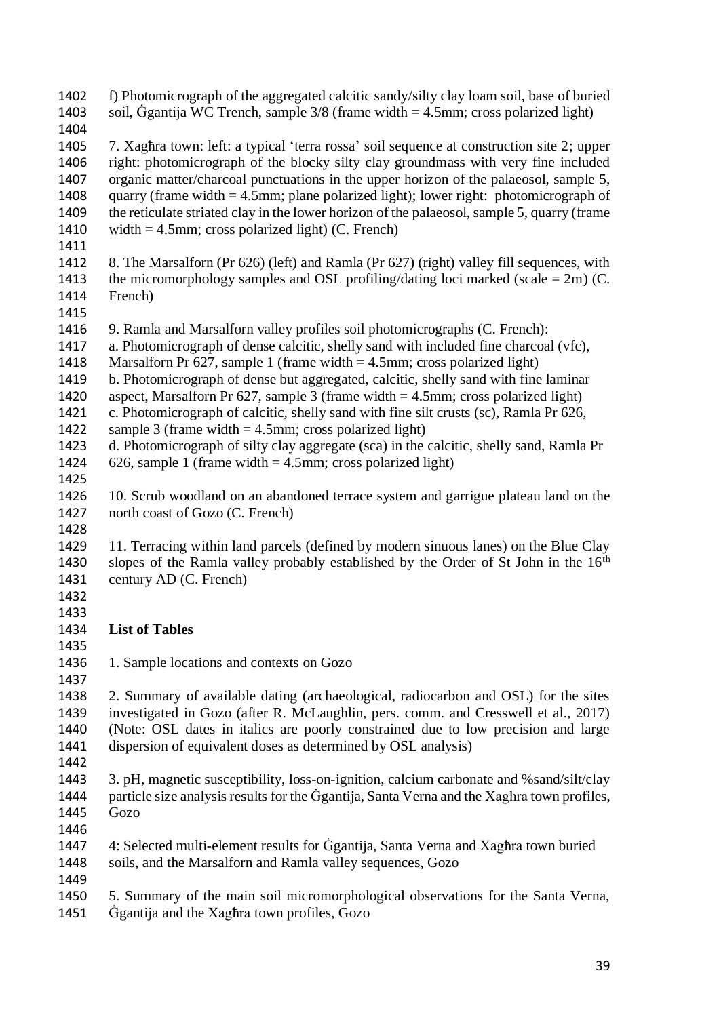soil, Ġgantija WC Trench, sample 3/8 (frame width = 4.5mm; cross polarized light) 7. Xagħra town: left: a typical 'terra rossa' soil sequence at construction site 2; upper right: photomicrograph of the blocky silty clay groundmass with very fine included organic matter/charcoal punctuations in the upper horizon of the palaeosol, sample 5, 1408 quarry (frame width  $= 4.5$ mm; plane polarized light); lower right: photomicrograph of the reticulate striated clay in the lower horizon of the palaeosol, sample 5, quarry (frame 1410 width  $= 4.5$ mm; cross polarized light) (C. French) 8. The Marsalforn (Pr 626) (left) and Ramla (Pr 627) (right) valley fill sequences, with 1413 the micromorphology samples and OSL profiling/dating loci marked (scale  $= 2m$ ) (C. French) 9. Ramla and Marsalforn valley profiles soil photomicrographs (C. French): a. Photomicrograph of dense calcitic, shelly sand with included fine charcoal (vfc), Marsalforn Pr 627, sample 1 (frame width = 4.5mm; cross polarized light) b. Photomicrograph of dense but aggregated, calcitic, shelly sand with fine laminar aspect, Marsalforn Pr 627, sample 3 (frame width = 4.5mm; cross polarized light) c. Photomicrograph of calcitic, shelly sand with fine silt crusts (sc), Ramla Pr 626, sample 3 (frame width = 4.5mm; cross polarized light) d. Photomicrograph of silty clay aggregate (sca) in the calcitic, shelly sand, Ramla Pr 626, sample 1 (frame width = 4.5mm; cross polarized light) 10. Scrub woodland on an abandoned terrace system and garrigue plateau land on the north coast of Gozo (C. French) 11. Terracing within land parcels (defined by modern sinuous lanes) on the Blue Clay 1430 slopes of the Ramla valley probably established by the Order of St John in the  $16<sup>th</sup>$  century AD (C. French) **List of Tables** 1. Sample locations and contexts on Gozo 2. Summary of available dating (archaeological, radiocarbon and OSL) for the sites investigated in Gozo (after R. McLaughlin, pers. comm. and Cresswell et al., 2017) (Note: OSL dates in italics are poorly constrained due to low precision and large dispersion of equivalent doses as determined by OSL analysis) 3. pH, magnetic susceptibility, loss-on-ignition, calcium carbonate and %sand/silt/clay particle size analysis results for the Ġgantija, Santa Verna and the Xagħra town profiles, Gozo 4: Selected multi-element results for Ġgantija, Santa Verna and Xagħra town buried soils, and the Marsalforn and Ramla valley sequences, Gozo 5. Summary of the main soil micromorphological observations for the Santa Verna, Ġgantija and the Xagħra town profiles, Gozo

f) Photomicrograph of the aggregated calcitic sandy/silty clay loam soil, base of buried